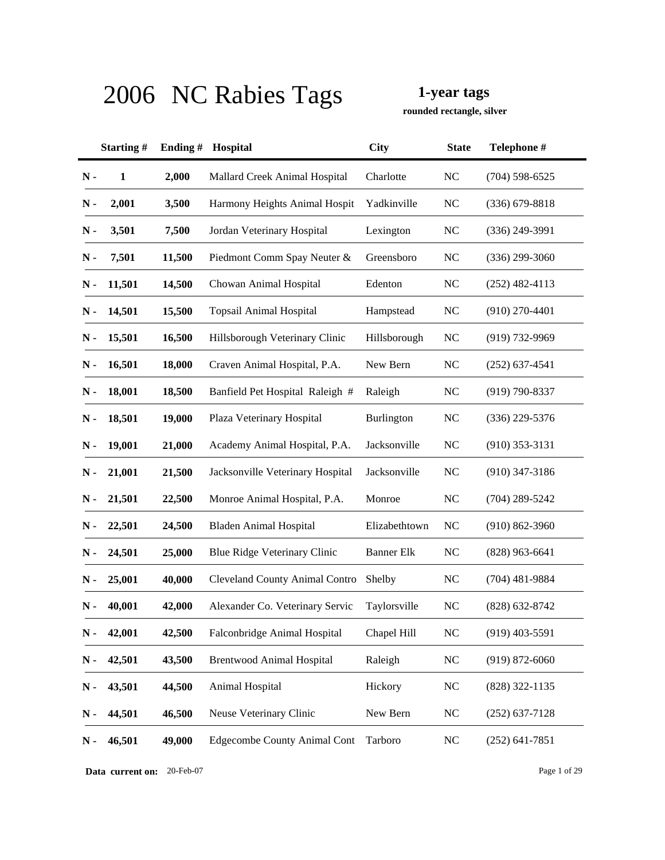**rounded rectangle, silver**

|               | Starting#    | Ending# | Hospital                              | <b>City</b>       | <b>State</b> | Telephone #        |
|---------------|--------------|---------|---------------------------------------|-------------------|--------------|--------------------|
| $\mathbf N$ - | $\mathbf{1}$ | 2,000   | Mallard Creek Animal Hospital         | Charlotte         | <b>NC</b>    | $(704)$ 598-6525   |
| $N -$         | 2,001        | 3,500   | Harmony Heights Animal Hospit         | Yadkinville       | NC           | $(336)$ 679-8818   |
| $N -$         | 3,501        | 7,500   | Jordan Veterinary Hospital            | Lexington         | <b>NC</b>    | $(336)$ 249-3991   |
| $N -$         | 7,501        | 11,500  | Piedmont Comm Spay Neuter &           | Greensboro        | <b>NC</b>    | $(336)$ 299-3060   |
| N-            | 11,501       | 14,500  | Chowan Animal Hospital                | Edenton           | <b>NC</b>    | $(252)$ 482-4113   |
| N -           | 14,501       | 15,500  | <b>Topsail Animal Hospital</b>        | Hampstead         | <b>NC</b>    | $(910)$ 270-4401   |
| N -           | 15,501       | 16,500  | Hillsborough Veterinary Clinic        | Hillsborough      | <b>NC</b>    | $(919) 732 - 9969$ |
| N-            | 16,501       | 18,000  | Craven Animal Hospital, P.A.          | New Bern          | <b>NC</b>    | $(252)$ 637-4541   |
| N-            | 18,001       | 18,500  | Banfield Pet Hospital Raleigh #       | Raleigh           | <b>NC</b>    | $(919) 790 - 8337$ |
| $\mathbf N$ - | 18,501       | 19,000  | Plaza Veterinary Hospital             | Burlington        | <b>NC</b>    | $(336)$ 229-5376   |
| N-            | 19,001       | 21,000  | Academy Animal Hospital, P.A.         | Jacksonville      | <b>NC</b>    | $(910)$ 353-3131   |
| $N -$         | 21,001       | 21,500  | Jacksonville Veterinary Hospital      | Jacksonville      | <b>NC</b>    | $(910)$ 347-3186   |
| N-            | 21,501       | 22,500  | Monroe Animal Hospital, P.A.          | Monroe            | <b>NC</b>    | $(704)$ 289-5242   |
| N -           | 22,501       | 24,500  | <b>Bladen Animal Hospital</b>         | Elizabethtown     | <b>NC</b>    | $(910) 862 - 3960$ |
| N -           | 24,501       | 25,000  | Blue Ridge Veterinary Clinic          | <b>Banner Elk</b> | <b>NC</b>    | $(828)$ 963-6641   |
| N -           | 25,001       | 40,000  | <b>Cleveland County Animal Contro</b> | Shelby            | <b>NC</b>    | $(704)$ 481-9884   |
| Ν.            | 40,001       | 42,000  | Alexander Co. Veterinary Servic       | Taylorsville      | <b>NC</b>    | (828) 632-8742     |
| $N -$         | 42,001       | 42,500  | Falconbridge Animal Hospital          | Chapel Hill       | <b>NC</b>    | $(919)$ 403-5591   |
| $N -$         | 42,501       | 43,500  | <b>Brentwood Animal Hospital</b>      | Raleigh           | <b>NC</b>    | $(919) 872 - 6060$ |
| $N -$         | 43,501       | 44,500  | Animal Hospital                       | Hickory           | NC           | $(828)$ 322-1135   |
| $N -$         | 44,501       | 46,500  | Neuse Veterinary Clinic               | New Bern          | <b>NC</b>    | $(252)$ 637-7128   |
| $N -$         | 46,501       | 49,000  | <b>Edgecombe County Animal Cont</b>   | Tarboro           | NC           | $(252)$ 641-7851   |

**Data current on:** 20-Feb-07 Page 1 of 29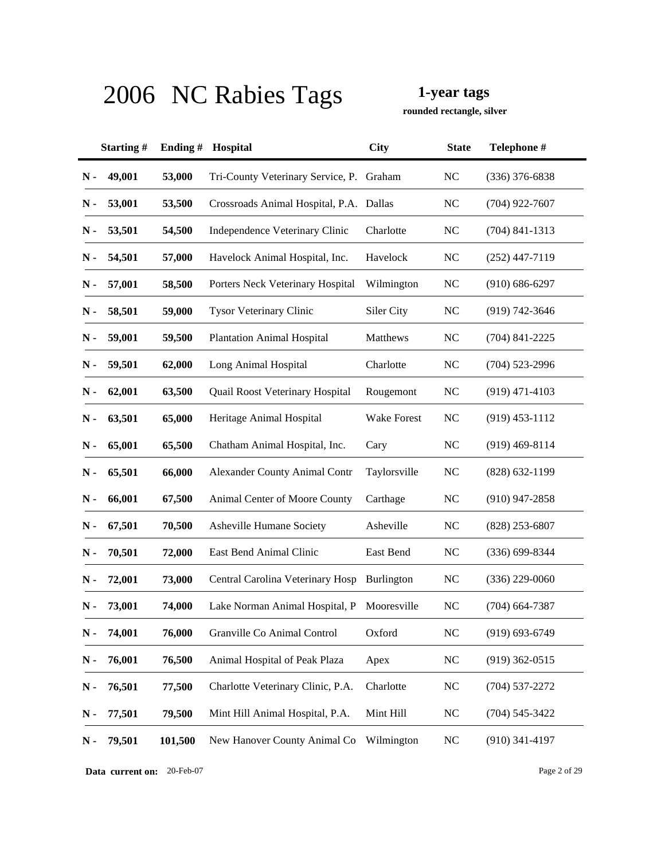**rounded rectangle, silver**

|       | Starting# | Ending# | Hospital                                 | <b>City</b>       | <b>State</b> | Telephone #        |
|-------|-----------|---------|------------------------------------------|-------------------|--------------|--------------------|
| $N -$ | 49,001    | 53,000  | Tri-County Veterinary Service, P. Graham |                   | <b>NC</b>    | $(336)$ 376-6838   |
| N -   | 53,001    | 53,500  | Crossroads Animal Hospital, P.A. Dallas  |                   | NC           | $(704)$ 922-7607   |
| $N -$ | 53,501    | 54,500  | Independence Veterinary Clinic           | Charlotte         | <b>NC</b>    | $(704)$ 841-1313   |
| N -   | 54,501    | 57,000  | Havelock Animal Hospital, Inc.           | Havelock          | <b>NC</b>    | $(252)$ 447-7119   |
| N-    | 57,001    | 58,500  | Porters Neck Veterinary Hospital         | Wilmington        | <b>NC</b>    | $(910) 686 - 6297$ |
| N -   | 58,501    | 59,000  | Tysor Veterinary Clinic                  | Siler City        | <b>NC</b>    | $(919) 742 - 3646$ |
| N -   | 59,001    | 59,500  | <b>Plantation Animal Hospital</b>        | Matthews          | <b>NC</b>    | $(704)$ 841-2225   |
| N-    | 59,501    | 62,000  | Long Animal Hospital                     | Charlotte         | <b>NC</b>    | $(704)$ 523-2996   |
| N-    | 62,001    | 63,500  | Quail Roost Veterinary Hospital          | Rougemont         | <b>NC</b>    | $(919)$ 471-4103   |
| N-    | 63,501    | 65,000  | Heritage Animal Hospital                 | Wake Forest       | <b>NC</b>    | $(919)$ 453-1112   |
| N-    | 65,001    | 65,500  | Chatham Animal Hospital, Inc.            | Cary              | <b>NC</b>    | $(919)$ 469-8114   |
| N-    | 65,501    | 66,000  | <b>Alexander County Animal Contr</b>     | Taylorsville      | <b>NC</b>    | $(828)$ 632-1199   |
| N-    | 66,001    | 67,500  | Animal Center of Moore County            | Carthage          | <b>NC</b>    | $(910)$ 947-2858   |
| N -   | 67,501    | 70,500  | Asheville Humane Society                 | Asheville         | <b>NC</b>    | (828) 253-6807     |
| N -   | 70,501    | 72,000  | East Bend Animal Clinic                  | East Bend         | <b>NC</b>    | $(336)$ 699-8344   |
| N -   | 72,001    | 73,000  | Central Carolina Veterinary Hosp         | <b>Burlington</b> | <b>NC</b>    | $(336)$ 229-0060   |
| Ν.    | 73,001    | 74,000  | Lake Norman Animal Hospital, P           | Mooresville       | <b>NC</b>    | $(704)$ 664-7387   |
| $N -$ | 74,001    | 76,000  | Granville Co Animal Control              | Oxford            | <b>NC</b>    | $(919) 693 - 6749$ |
| $N -$ | 76,001    | 76,500  | Animal Hospital of Peak Plaza            | Apex              | <b>NC</b>    | $(919)$ 362-0515   |
| $N -$ | 76,501    | 77,500  | Charlotte Veterinary Clinic, P.A.        | Charlotte         | <b>NC</b>    | $(704) 537 - 2272$ |
| $N -$ | 77,501    | 79,500  | Mint Hill Animal Hospital, P.A.          | Mint Hill         | <b>NC</b>    | $(704) 545 - 3422$ |
| $N -$ | 79,501    | 101,500 | New Hanover County Animal Co             | Wilmington        | <b>NC</b>    | $(910)$ 341-4197   |

**Data current on:** 20-Feb-07 Page 2 of 29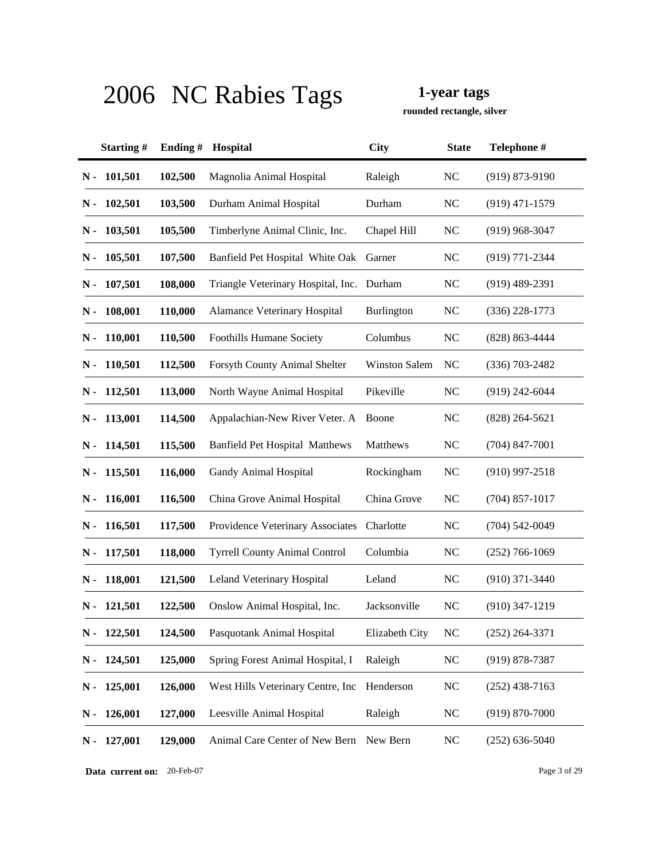**rounded rectangle, silver**

|               | Starting#     | Ending# | Hospital                                  | <b>City</b>          | <b>State</b> | Telephone #        |
|---------------|---------------|---------|-------------------------------------------|----------------------|--------------|--------------------|
| $N -$         | 101,501       | 102,500 | Magnolia Animal Hospital                  | Raleigh              | <b>NC</b>    | $(919) 873 - 9190$ |
| N -           | 102,501       | 103,500 | Durham Animal Hospital                    | Durham               | <b>NC</b>    | $(919)$ 471-1579   |
| N -           | 103,501       | 105,500 | Timberlyne Animal Clinic, Inc.            | Chapel Hill          | <b>NC</b>    | $(919)$ 968-3047   |
|               | $N - 105,501$ | 107,500 | Banfield Pet Hospital White Oak           | Garner               | <b>NC</b>    | (919) 771-2344     |
| N -           | 107,501       | 108,000 | Triangle Veterinary Hospital, Inc. Durham |                      | <b>NC</b>    | $(919)$ 489-2391   |
| N -           | 108,001       | 110,000 | Alamance Veterinary Hospital              | Burlington           | <b>NC</b>    | $(336)$ 228-1773   |
|               | $N - 110,001$ | 110,500 | Foothills Humane Society                  | Columbus             | <b>NC</b>    | $(828) 863 - 4444$ |
|               | $N - 110,501$ | 112,500 | Forsyth County Animal Shelter             | <b>Winston Salem</b> | NC           | $(336)$ 703-2482   |
| N -           | 112,501       | 113,000 | North Wayne Animal Hospital               | Pikeville            | <b>NC</b>    | $(919)$ 242-6044   |
| N -           | 113,001       | 114,500 | Appalachian-New River Veter. A            | Boone                | <b>NC</b>    | $(828)$ 264-5621   |
| N -           | 114,501       | 115,500 | <b>Banfield Pet Hospital Matthews</b>     | Matthews             | <b>NC</b>    | $(704)$ 847-7001   |
| $N -$         | 115,501       | 116,000 | Gandy Animal Hospital                     | Rockingham           | <b>NC</b>    | $(910)$ 997-2518   |
| N -           | 116,001       | 116,500 | China Grove Animal Hospital               | China Grove          | <b>NC</b>    | $(704)$ 857-1017   |
| N -           | 116,501       | 117,500 | Providence Veterinary Associates          | Charlotte            | <b>NC</b>    | $(704) 542 - 0049$ |
|               | $N - 117,501$ | 118,000 | <b>Tyrrell County Animal Control</b>      | Columbia             | <b>NC</b>    | $(252)$ 766-1069   |
|               | $N - 118,001$ | 121,500 | Leland Veterinary Hospital                | Leland               | <b>NC</b>    | $(910)$ 371-3440   |
| N -           | 121,501       | 122,500 | Onslow Animal Hospital, Inc.              | Jacksonville         | <b>NC</b>    | $(910)$ 347-1219   |
| N -           | 122,501       | 124,500 | Pasquotank Animal Hospital                | Elizabeth City       | <b>NC</b>    | $(252)$ 264-3371   |
| $N -$         | 124,501       | 125,000 | Spring Forest Animal Hospital, I          | Raleigh              | <b>NC</b>    | $(919) 878 - 7387$ |
| $N -$         | 125,001       | 126,000 | West Hills Veterinary Centre, Inc         | Henderson            | <b>NC</b>    | $(252)$ 438-7163   |
| $N -$         | 126,001       | 127,000 | Leesville Animal Hospital                 | Raleigh              | <b>NC</b>    | $(919) 870 - 7000$ |
| $\mathbf N$ - | 127,001       | 129,000 | Animal Care Center of New Bern            | New Bern             | <b>NC</b>    | $(252)$ 636-5040   |

**Data current on:** 20-Feb-07 Page 3 of 29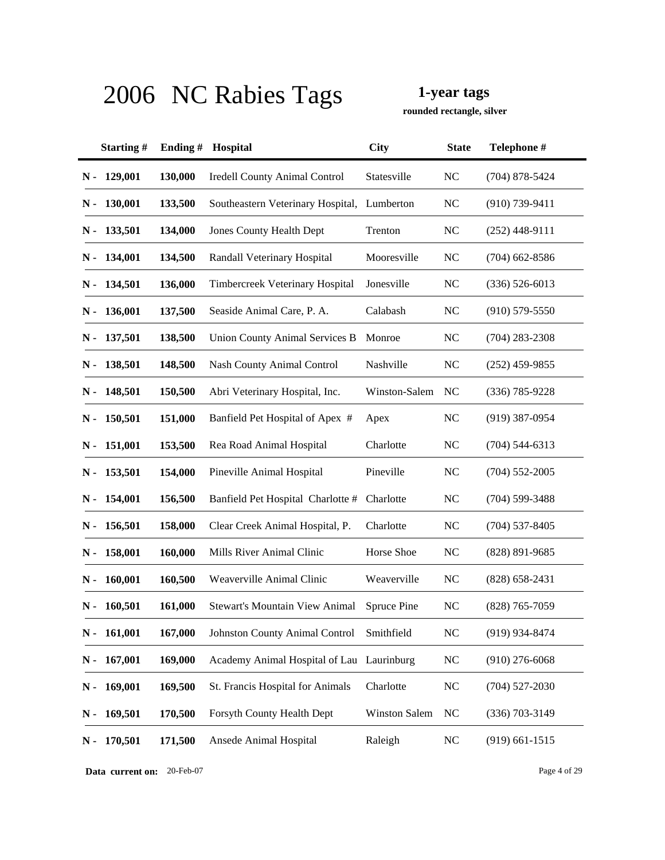**rounded rectangle, silver**

|               | Starting#     | Ending# | Hospital                                    | <b>City</b>          | <b>State</b> | Telephone #        |
|---------------|---------------|---------|---------------------------------------------|----------------------|--------------|--------------------|
| $N -$         | 129,001       | 130,000 | <b>Iredell County Animal Control</b>        | Statesville          | <b>NC</b>    | $(704)$ 878-5424   |
| N -           | 130,001       | 133,500 | Southeastern Veterinary Hospital, Lumberton |                      | NC           | $(910) 739 - 9411$ |
| N -           | 133,501       | 134,000 | <b>Jones County Health Dept</b>             | Trenton              | <b>NC</b>    | $(252)$ 448-9111   |
|               | $N - 134,001$ | 134,500 | Randall Veterinary Hospital                 | Mooresville          | <b>NC</b>    | $(704)$ 662-8586   |
| N -           | 134,501       | 136,000 | Timbercreek Veterinary Hospital             | Jonesville           | <b>NC</b>    | $(336) 526 - 6013$ |
| N -           | 136,001       | 137,500 | Seaside Animal Care, P. A.                  | Calabash             | <b>NC</b>    | $(910)$ 579-5550   |
|               | N - 137,501   | 138,500 | <b>Union County Animal Services B</b>       | Monroe               | <b>NC</b>    | $(704)$ 283-2308   |
| N -           | 138,501       | 148,500 | Nash County Animal Control                  | Nashville            | <b>NC</b>    | $(252)$ 459-9855   |
| N -           | 148,501       | 150,500 | Abri Veterinary Hospital, Inc.              | Winston-Salem        | NC           | $(336)$ 785-9228   |
| N-            | 150,501       | 151,000 | Banfield Pet Hospital of Apex #             | Apex                 | <b>NC</b>    | $(919)$ 387-0954   |
| N -           | 151,001       | 153,500 | Rea Road Animal Hospital                    | Charlotte            | <b>NC</b>    | $(704)$ 544-6313   |
| $N -$         | 153,501       | 154,000 | Pineville Animal Hospital                   | Pineville            | <b>NC</b>    | $(704)$ 552-2005   |
| N -           | 154,001       | 156,500 | Banfield Pet Hospital Charlotte #           | Charlotte            | <b>NC</b>    | $(704)$ 599-3488   |
| $N -$         | 156,501       | 158,000 | Clear Creek Animal Hospital, P.             | Charlotte            | <b>NC</b>    | $(704)$ 537-8405   |
| N -           | 158,001       | 160,000 | Mills River Animal Clinic                   | Horse Shoe           | <b>NC</b>    | $(828) 891 - 9685$ |
| N -           | 160,001       | 160,500 | Weaverville Animal Clinic                   | Weaverville          | <b>NC</b>    | $(828)$ 658-2431   |
| N -           | 160,501       | 161,000 | <b>Stewart's Mountain View Animal</b>       | Spruce Pine          | <b>NC</b>    | $(828)$ 765-7059   |
| N -           | 161,001       | 167,000 | Johnston County Animal Control Smithfield   |                      | <b>NC</b>    | (919) 934-8474     |
| $N -$         | 167,001       | 169,000 | Academy Animal Hospital of Lau Laurinburg   |                      | <b>NC</b>    | $(910)$ 276-6068   |
| $N -$         | 169,001       | 169,500 | St. Francis Hospital for Animals            | Charlotte            | NC           | $(704)$ 527-2030   |
| $\mathbf N$ - | 169,501       | 170,500 | Forsyth County Health Dept                  | <b>Winston Salem</b> | <b>NC</b>    | $(336)$ 703-3149   |
| $\mathbf N$ - | 170,501       | 171,500 | Ansede Animal Hospital                      | Raleigh              | NC           | $(919)$ 661-1515   |

**Data current on:** 20-Feb-07 Page 4 of 29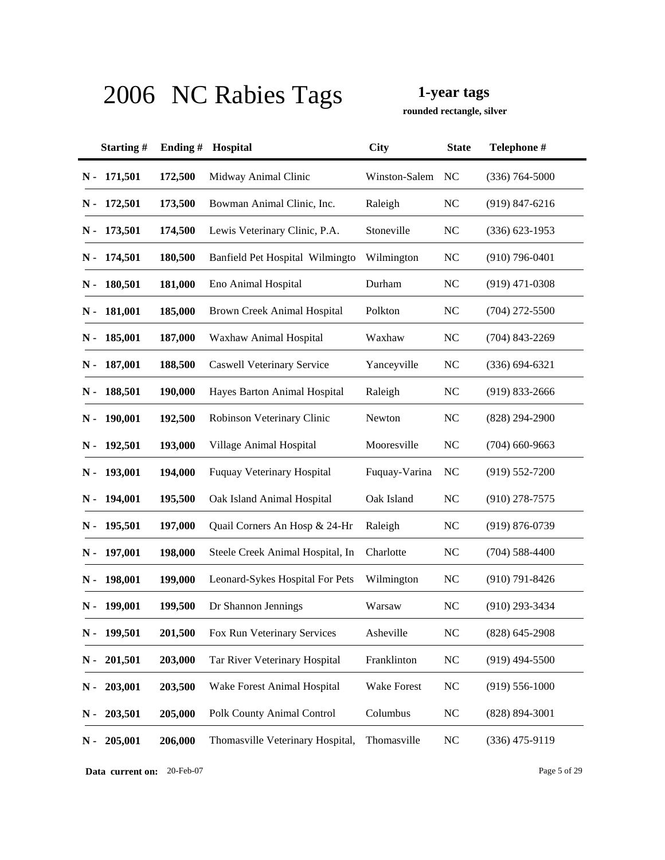**rounded rectangle, silver**

|       | Starting#     | Ending# | Hospital                          | <b>City</b>   | <b>State</b>   | Telephone #        |
|-------|---------------|---------|-----------------------------------|---------------|----------------|--------------------|
| $N -$ | 171,501       | 172,500 | Midway Animal Clinic              | Winston-Salem | NC             | $(336) 764 - 5000$ |
| N -   | 172,501       | 173,500 | Bowman Animal Clinic, Inc.        | Raleigh       | <b>NC</b>      | $(919)$ 847-6216   |
| N -   | 173,501       | 174,500 | Lewis Veterinary Clinic, P.A.     | Stoneville    | <b>NC</b>      | $(336)$ 623-1953   |
|       | N - 174,501   | 180,500 | Banfield Pet Hospital Wilmingto   | Wilmington    | <b>NC</b>      | $(910)$ 796-0401   |
| N -   | 180,501       | 181,000 | Eno Animal Hospital               | Durham        | <b>NC</b>      | $(919)$ 471-0308   |
| N -   | 181,001       | 185,000 | Brown Creek Animal Hospital       | Polkton       | <b>NC</b>      | $(704)$ 272-5500   |
|       | $N - 185,001$ | 187,000 | Waxhaw Animal Hospital            | Waxhaw        | <b>NC</b>      | $(704)$ 843-2269   |
|       | $N - 187,001$ | 188,500 | Caswell Veterinary Service        | Yanceyville   | <b>NC</b>      | $(336) 694 - 6321$ |
| N -   | 188,501       | 190,000 | Hayes Barton Animal Hospital      | Raleigh       | <b>NC</b>      | $(919)$ 833-2666   |
| N -   | 190,001       | 192,500 | Robinson Veterinary Clinic        | Newton        | <b>NC</b>      | (828) 294-2900     |
| N -   | 192,501       | 193,000 | Village Animal Hospital           | Mooresville   | <b>NC</b>      | $(704)$ 660-9663   |
| N -   | 193,001       | 194,000 | <b>Fuquay Veterinary Hospital</b> | Fuquay-Varina | <b>NC</b>      | $(919) 552 - 7200$ |
| N -   | 194,001       | 195,500 | Oak Island Animal Hospital        | Oak Island    | <b>NC</b>      | $(910)$ 278-7575   |
| N -   | 195,501       | 197,000 | Quail Corners An Hosp & 24-Hr     | Raleigh       | <b>NC</b>      | (919) 876-0739     |
| N -   | 197,001       | 198,000 | Steele Creek Animal Hospital, In  | Charlotte     | <b>NC</b>      | $(704)$ 588-4400   |
|       | N - 198,001   | 199,000 | Leonard-Sykes Hospital For Pets   | Wilmington    | <b>NC</b>      | $(910) 791 - 8426$ |
| N -   | 199,001       | 199,500 | Dr Shannon Jennings               | Warsaw        | N <sub>C</sub> | $(910)$ 293-3434   |
| $N -$ | 199,501       | 201,500 | Fox Run Veterinary Services       | Asheville     | <b>NC</b>      | $(828) 645 - 2908$ |
| $N -$ | 201,501       | 203,000 | Tar River Veterinary Hospital     | Franklinton   | <b>NC</b>      | $(919)$ 494-5500   |
| $N -$ | 203,001       | 203,500 | Wake Forest Animal Hospital       | Wake Forest   | N <sub>C</sub> | $(919)$ 556-1000   |
| $N -$ | 203,501       | 205,000 | Polk County Animal Control        | Columbus      | <b>NC</b>      | $(828) 894 - 3001$ |
| $N -$ | 205,001       | 206,000 | Thomasville Veterinary Hospital,  | Thomasville   | <b>NC</b>      | $(336)$ 475-9119   |

**Data current on:** 20-Feb-07 Page 5 of 29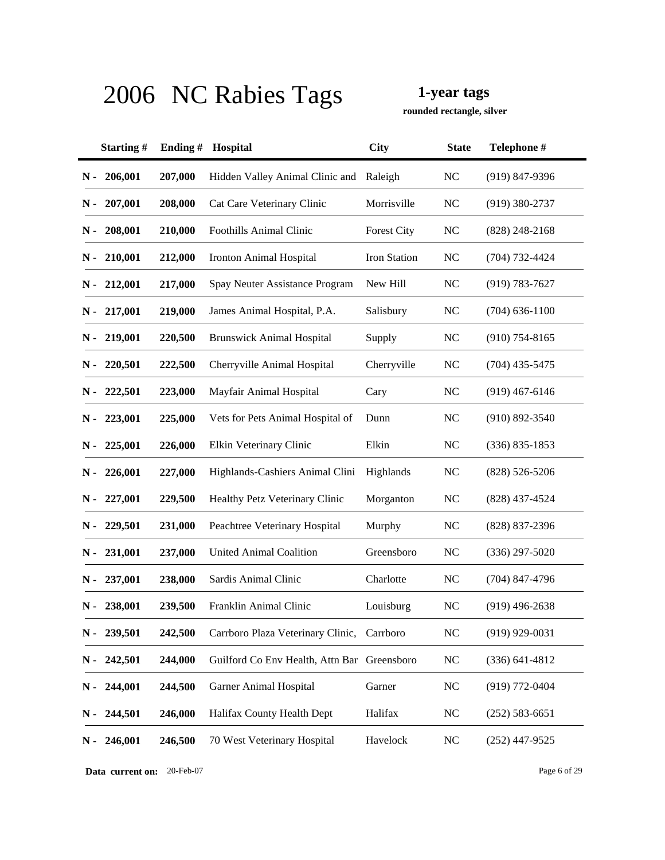**rounded rectangle, silver**

|       | Starting#     | Ending# | Hospital                                    | <b>City</b>        | <b>State</b> | Telephone #        |
|-------|---------------|---------|---------------------------------------------|--------------------|--------------|--------------------|
| $N -$ | 206,001       | 207,000 | Hidden Valley Animal Clinic and             | Raleigh            | <b>NC</b>    | $(919)$ 847-9396   |
| N -   | 207,001       | 208,000 | Cat Care Veterinary Clinic                  | Morrisville        | <b>NC</b>    | $(919)$ 380-2737   |
| N -   | 208,001       | 210,000 | <b>Foothills Animal Clinic</b>              | <b>Forest City</b> | <b>NC</b>    | $(828)$ 248-2168   |
|       | $N - 210,001$ | 212,000 | <b>Ironton Animal Hospital</b>              | Iron Station       | <b>NC</b>    | $(704) 732 - 4424$ |
|       | $N - 212,001$ | 217,000 | Spay Neuter Assistance Program              | New Hill           | <b>NC</b>    | $(919) 783 - 7627$ |
|       | $N - 217,001$ | 219,000 | James Animal Hospital, P.A.                 | Salisbury          | <b>NC</b>    | $(704)$ 636-1100   |
|       | $N - 219,001$ | 220,500 | <b>Brunswick Animal Hospital</b>            | Supply             | NC           | $(910)$ 754-8165   |
| N -   | 220,501       | 222,500 | Cherryville Animal Hospital                 | Cherryville        | <b>NC</b>    | $(704)$ 435-5475   |
| N -   | 222,501       | 223,000 | Mayfair Animal Hospital                     | Cary               | <b>NC</b>    | $(919)$ 467-6146   |
| N -   | 223,001       | 225,000 | Vets for Pets Animal Hospital of            | Dunn               | <b>NC</b>    | $(910) 892 - 3540$ |
| N -   | 225,001       | 226,000 | Elkin Veterinary Clinic                     | Elkin              | <b>NC</b>    | $(336) 835 - 1853$ |
| N -   | 226,001       | 227,000 | Highlands-Cashiers Animal Clini             | Highlands          | <b>NC</b>    | $(828) 526 - 5206$ |
| N -   | 227,001       | 229,500 | Healthy Petz Veterinary Clinic              | Morganton          | <b>NC</b>    | (828) 437-4524     |
| N -   | 229,501       | 231,000 | Peachtree Veterinary Hospital               | Murphy             | <b>NC</b>    | $(828)$ 837-2396   |
| N -   | 231,001       | 237,000 | <b>United Animal Coalition</b>              | Greensboro         | <b>NC</b>    | $(336)$ 297-5020   |
| N -   | 237,001       | 238,000 | Sardis Animal Clinic                        | Charlotte          | <b>NC</b>    | $(704)$ 847-4796   |
| N -   | 238,001       | 239,500 | Franklin Animal Clinic                      | Louisburg          | <b>NC</b>    | $(919)$ 496-2638   |
| $N -$ | 239,501       | 242,500 | Carrboro Plaza Veterinary Clinic, Carrboro  |                    | <b>NC</b>    | $(919)$ 929-0031   |
| $N -$ | 242,501       | 244,000 | Guilford Co Env Health, Attn Bar Greensboro |                    | <b>NC</b>    | $(336)$ 641-4812   |
| $N -$ | 244,001       | 244,500 | <b>Garner Animal Hospital</b>               | Garner             | <b>NC</b>    | $(919)$ 772-0404   |
| $N -$ | 244,501       | 246,000 | Halifax County Health Dept                  | Halifax            | <b>NC</b>    | $(252) 583 - 6651$ |
| $N -$ | 246,001       | 246,500 | 70 West Veterinary Hospital                 | Havelock           | <b>NC</b>    | $(252)$ 447-9525   |

**Data current on:** 20-Feb-07 Page 6 of 29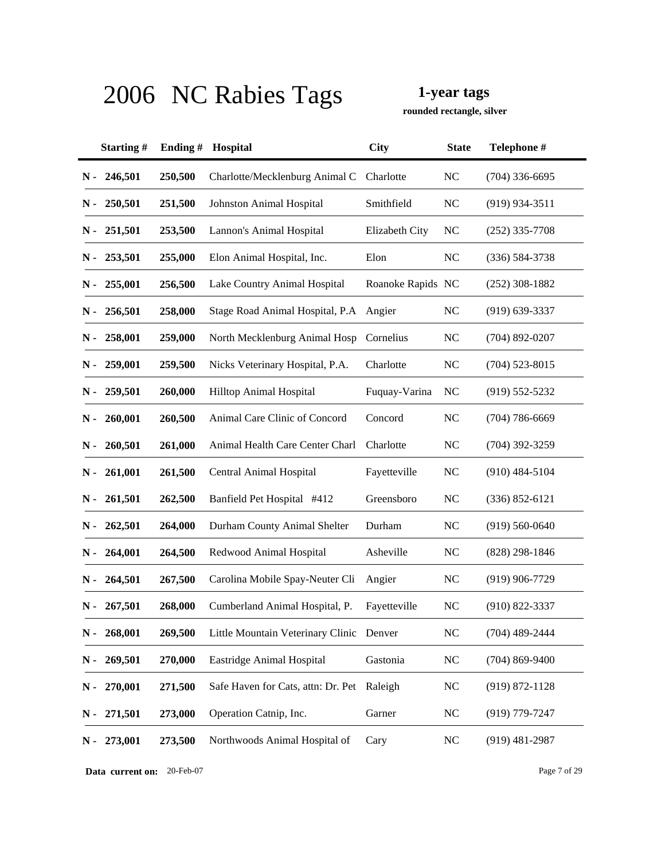**rounded rectangle, silver**

|               | Starting# | Ending# | Hospital                                 | <b>City</b>       | <b>State</b>   | Telephone #        |
|---------------|-----------|---------|------------------------------------------|-------------------|----------------|--------------------|
| $N -$         | 246,501   | 250,500 | Charlotte/Mecklenburg Animal C           | Charlotte         | <b>NC</b>      | $(704)$ 336-6695   |
| N -           | 250,501   | 251,500 | <b>Johnston Animal Hospital</b>          | Smithfield        | <b>NC</b>      | $(919)$ 934-3511   |
| N -           | 251,501   | 253,500 | Lannon's Animal Hospital                 | Elizabeth City    | NC             | $(252)$ 335-7708   |
| $N -$         | 253,501   | 255,000 | Elon Animal Hospital, Inc.               | Elon              | <b>NC</b>      | $(336) 584 - 3738$ |
| $N -$         | 255,001   | 256,500 | Lake Country Animal Hospital             | Roanoke Rapids NC |                | $(252)$ 308-1882   |
| $N -$         | 256,501   | 258,000 | Stage Road Animal Hospital, P.A          | Angier            | <b>NC</b>      | $(919)$ 639-3337   |
| N -           | 258,001   | 259,000 | North Mecklenburg Animal Hosp            | Cornelius         | <b>NC</b>      | $(704)$ 892-0207   |
| $N -$         | 259,001   | 259,500 | Nicks Veterinary Hospital, P.A.          | Charlotte         | <b>NC</b>      | $(704)$ 523-8015   |
| N -           | 259,501   | 260,000 | Hilltop Animal Hospital                  | Fuquay-Varina     | N <sub>C</sub> | $(919) 552 - 5232$ |
| $\mathbf N$ - | 260,001   | 260,500 | Animal Care Clinic of Concord            | Concord           | <b>NC</b>      | $(704) 786 - 6669$ |
| N -           | 260,501   | 261,000 | Animal Health Care Center Charl          | Charlotte         | <b>NC</b>      | $(704)$ 392-3259   |
| $N -$         | 261,001   | 261,500 | Central Animal Hospital                  | Fayetteville      | N <sub>C</sub> | $(910)$ 484-5104   |
| $N -$         | 261,501   | 262,500 | Banfield Pet Hospital #412               | Greensboro        | <b>NC</b>      | $(336) 852 - 6121$ |
| N -           | 262,501   | 264,000 | Durham County Animal Shelter             | Durham            | <b>NC</b>      | $(919) 560 - 0640$ |
| N -           | 264,001   | 264,500 | Redwood Animal Hospital                  | Asheville         | <b>NC</b>      | $(828)$ 298-1846   |
| N -           | 264,501   | 267,500 | Carolina Mobile Spay-Neuter Cli          | Angier            | <b>NC</b>      | $(919)$ 906-7729   |
| N -           | 267,501   | 268,000 | Cumberland Animal Hospital, P.           | Fayetteville      | NC             | $(910) 822 - 3337$ |
| $N -$         | 268,001   | 269,500 | Little Mountain Veterinary Clinic Denver |                   | <b>NC</b>      | $(704)$ 489-2444   |
| N-            | 269,501   | 270,000 | Eastridge Animal Hospital                | Gastonia          | <b>NC</b>      | $(704)$ 869-9400   |
| $N -$         | 270,001   | 271,500 | Safe Haven for Cats, attn: Dr. Pet       | Raleigh           | <b>NC</b>      | $(919) 872 - 1128$ |
| N-            | 271,501   | 273,000 | Operation Catnip, Inc.                   | Garner            | N <sub>C</sub> | $(919)$ 779-7247   |
| $\mathbf N$ - | 273,001   | 273,500 | Northwoods Animal Hospital of            | Cary              | <b>NC</b>      | $(919)$ 481-2987   |

**Data current on:** 20-Feb-07 Page 7 of 29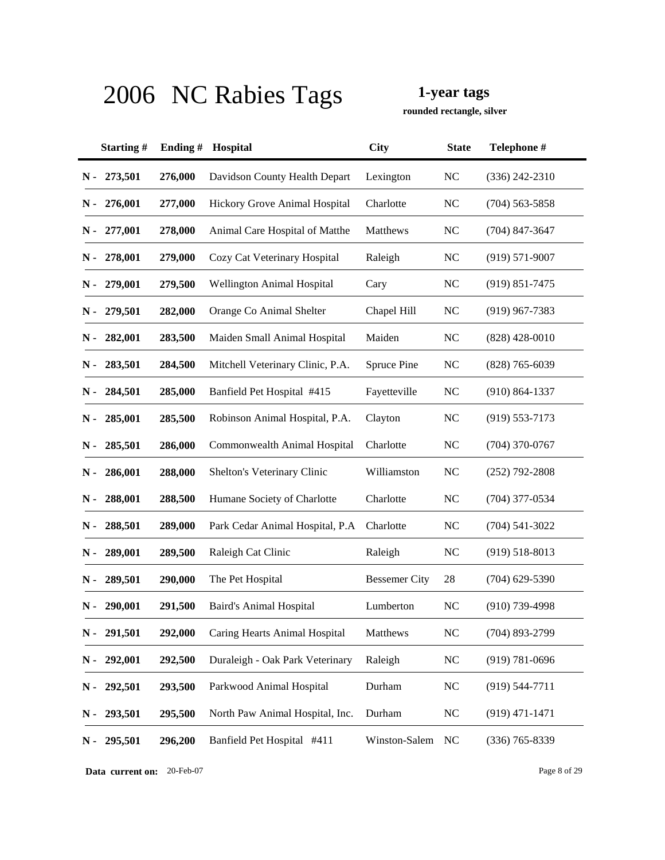**rounded rectangle, silver**

|               | Starting#   | Ending# | Hospital                         | <b>City</b>          | <b>State</b>   | Telephone #        |
|---------------|-------------|---------|----------------------------------|----------------------|----------------|--------------------|
| $N -$         | 273,501     | 276,000 | Davidson County Health Depart    | Lexington            | <b>NC</b>      | $(336)$ 242-2310   |
| N -           | 276,001     | 277,000 | Hickory Grove Animal Hospital    | Charlotte            | <b>NC</b>      | $(704)$ 563-5858   |
| N -           | 277,001     | 278,000 | Animal Care Hospital of Matthe   | Matthews             | <b>NC</b>      | $(704)$ 847-3647   |
| N -           | 278,001     | 279,000 | Cozy Cat Veterinary Hospital     | Raleigh              | NC             | $(919) 571 - 9007$ |
| N -           | 279,001     | 279,500 | Wellington Animal Hospital       | Cary                 | <b>NC</b>      | $(919) 851 - 7475$ |
| N -           | 279,501     | 282,000 | Orange Co Animal Shelter         | Chapel Hill          | <b>NC</b>      | $(919)$ 967-7383   |
| N -           | 282,001     | 283,500 | Maiden Small Animal Hospital     | Maiden               | <b>NC</b>      | $(828)$ 428-0010   |
| N -           | 283,501     | 284,500 | Mitchell Veterinary Clinic, P.A. | <b>Spruce Pine</b>   | <b>NC</b>      | $(828)$ 765-6039   |
| N -           | 284,501     | 285,000 | Banfield Pet Hospital #415       | Fayetteville         | <b>NC</b>      | $(910) 864 - 1337$ |
| N -           | 285,001     | 285,500 | Robinson Animal Hospital, P.A.   | Clayton              | <b>NC</b>      | $(919)$ 553-7173   |
| N -           | 285,501     | 286,000 | Commonwealth Animal Hospital     | Charlotte            | <b>NC</b>      | $(704)$ 370-0767   |
| N -           | 286,001     | 288,000 | Shelton's Veterinary Clinic      | Williamston          | <b>NC</b>      | $(252)$ 792-2808   |
| N -           | 288,001     | 288,500 | Humane Society of Charlotte      | Charlotte            | <b>NC</b>      | $(704)$ 377-0534   |
| N -           | 288,501     | 289,000 | Park Cedar Animal Hospital, P.A. | Charlotte            | <b>NC</b>      | $(704) 541 - 3022$ |
| N -           | 289,001     | 289,500 | Raleigh Cat Clinic               | Raleigh              | NC             | $(919) 518 - 8013$ |
| N -           | 289,501     | 290,000 | The Pet Hospital                 | <b>Bessemer City</b> | 28             | $(704)$ 629-5390   |
| N -           | 290,001     | 291,500 | <b>Baird's Animal Hospital</b>   | Lumberton            | <b>NC</b>      | $(910)$ 739-4998   |
|               | N - 291,501 | 292,000 | Caring Hearts Animal Hospital    | Matthews             | <b>NC</b>      | $(704)$ 893-2799   |
| $N -$         | 292,001     | 292,500 | Duraleigh - Oak Park Veterinary  | Raleigh              | <b>NC</b>      | $(919) 781 - 0696$ |
| $\mathbf N$ - | 292,501     | 293,500 | Parkwood Animal Hospital         | Durham               | N <sub>C</sub> | $(919) 544 - 7711$ |
| $\mathbf N$ - | 293,501     | 295,500 | North Paw Animal Hospital, Inc.  | Durham               | <b>NC</b>      | $(919)$ 471-1471   |
| $N -$         | 295,501     | 296,200 | Banfield Pet Hospital #411       | Winston-Salem        | <b>NC</b>      | $(336)$ 765-8339   |

**Data current on:** 20-Feb-07 Page 8 of 29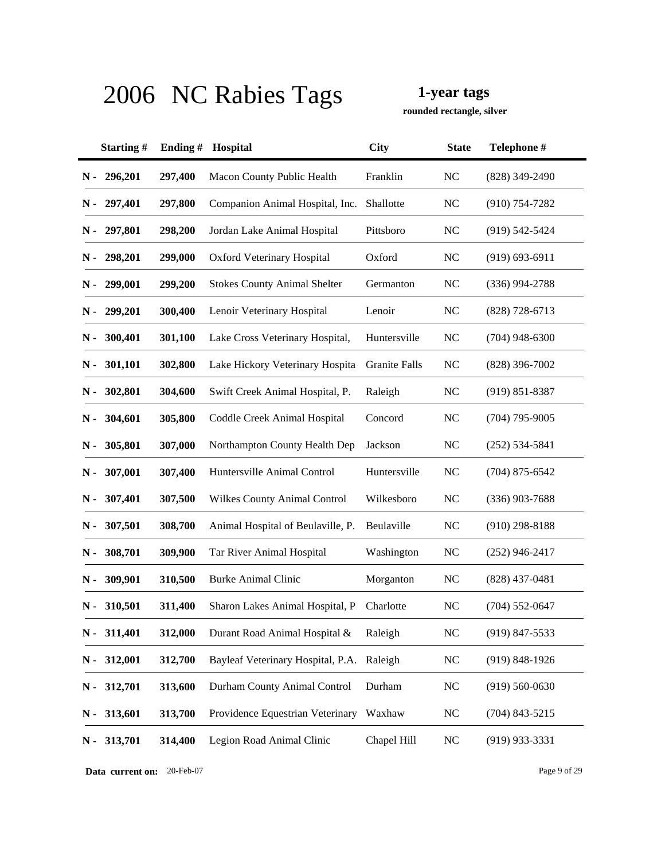**rounded rectangle, silver**

|               | Starting# | Ending# | Hospital                            | <b>City</b>   | <b>State</b>   | Telephone #        |
|---------------|-----------|---------|-------------------------------------|---------------|----------------|--------------------|
| $N -$         | 296,201   | 297,400 | Macon County Public Health          | Franklin      | N <sub>C</sub> | $(828)$ 349-2490   |
| N -           | 297,401   | 297,800 | Companion Animal Hospital, Inc.     | Shallotte     | NC             | $(910)$ 754-7282   |
| N -           | 297,801   | 298,200 | Jordan Lake Animal Hospital         | Pittsboro     | N <sub>C</sub> | $(919)$ 542-5424   |
| N -           | 298,201   | 299,000 | Oxford Veterinary Hospital          | Oxford        | <b>NC</b>      | $(919) 693 - 6911$ |
| N -           | 299,001   | 299,200 | <b>Stokes County Animal Shelter</b> | Germanton     | <b>NC</b>      | $(336)$ 994-2788   |
| N -           | 299,201   | 300,400 | Lenoir Veterinary Hospital          | Lenoir        | <b>NC</b>      | $(828)$ 728-6713   |
| N -           | 300,401   | 301,100 | Lake Cross Veterinary Hospital,     | Huntersville  | <b>NC</b>      | $(704)$ 948-6300   |
| N -           | 301,101   | 302,800 | Lake Hickory Veterinary Hospita     | Granite Falls | <b>NC</b>      | $(828)$ 396-7002   |
| N -           | 302,801   | 304,600 | Swift Creek Animal Hospital, P.     | Raleigh       | <b>NC</b>      | $(919) 851 - 8387$ |
| N -           | 304,601   | 305,800 | Coddle Creek Animal Hospital        | Concord       | <b>NC</b>      | $(704)$ 795-9005   |
| N -           | 305,801   | 307,000 | Northampton County Health Dep       | Jackson       | <b>NC</b>      | $(252) 534 - 5841$ |
| N -           | 307,001   | 307,400 | Huntersville Animal Control         | Huntersville  | <b>NC</b>      | $(704)$ 875-6542   |
| N -           | 307,401   | 307,500 | <b>Wilkes County Animal Control</b> | Wilkesboro    | <b>NC</b>      | $(336)$ 903-7688   |
| N -           | 307,501   | 308,700 | Animal Hospital of Beulaville, P.   | Beulaville    | <b>NC</b>      | $(910)$ 298-8188   |
| N -           | 308,701   | 309,900 | Tar River Animal Hospital           | Washington    | NC             | $(252)$ 946-2417   |
| N -           | 309,901   | 310,500 | <b>Burke Animal Clinic</b>          | Morganton     | <b>NC</b>      | $(828)$ 437-0481   |
| N -           | 310,501   | 311,400 | Sharon Lakes Animal Hospital, P     | Charlotte     | <b>NC</b>      | $(704)$ 552-0647   |
| $\mathbf N$ - | 311,401   | 312,000 | Durant Road Animal Hospital &       | Raleigh       | <b>NC</b>      | (919) 847-5533     |
| $N -$         | 312,001   | 312,700 | Bayleaf Veterinary Hospital, P.A.   | Raleigh       | <b>NC</b>      | $(919)$ 848-1926   |
| $\mathbf N$ - | 312,701   | 313,600 | Durham County Animal Control        | Durham        | <b>NC</b>      | $(919) 560 - 0630$ |
| $N -$         | 313,601   | 313,700 | Providence Equestrian Veterinary    | Waxhaw        | <b>NC</b>      | $(704)$ 843-5215   |
| $N -$         | 313,701   | 314,400 | Legion Road Animal Clinic           | Chapel Hill   | <b>NC</b>      | $(919)$ 933-3331   |

**Data current on:** 20-Feb-07 Page 9 of 29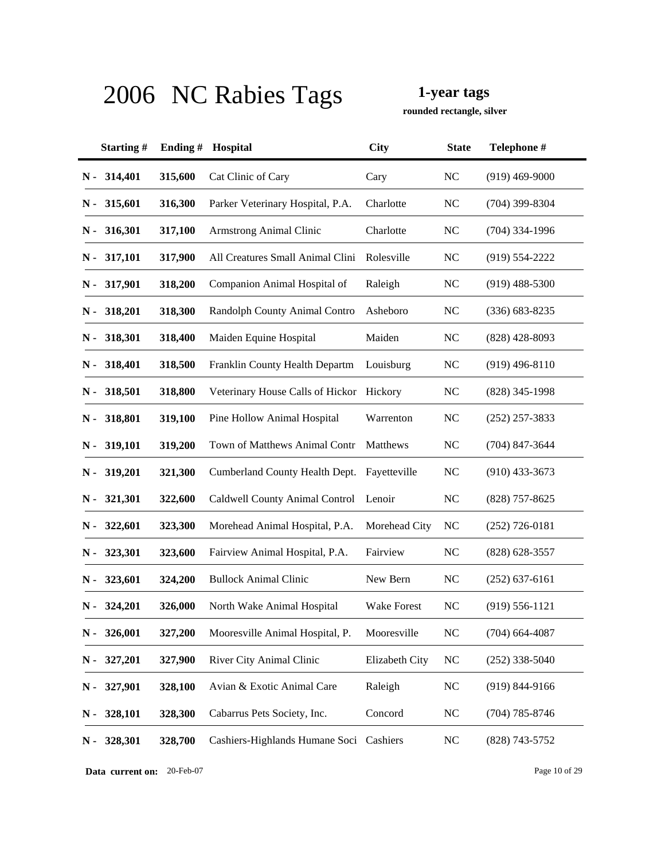**rounded rectangle, silver**

|       | Starting#     | Ending # | Hospital                                 | <b>City</b>    | <b>State</b>   | Telephone #        |
|-------|---------------|----------|------------------------------------------|----------------|----------------|--------------------|
| $N -$ | 314,401       | 315,600  | Cat Clinic of Cary                       | Cary           | N <sub>C</sub> | $(919)$ 469-9000   |
| N -   | 315,601       | 316,300  | Parker Veterinary Hospital, P.A.         | Charlotte      | <b>NC</b>      | $(704)$ 399-8304   |
| N -   | 316,301       | 317,100  | <b>Armstrong Animal Clinic</b>           | Charlotte      | <b>NC</b>      | $(704)$ 334-1996   |
|       | $N - 317,101$ | 317,900  | All Creatures Small Animal Clini         | Rolesville     | <b>NC</b>      | $(919) 554 - 2222$ |
| N -   | 317,901       | 318,200  | Companion Animal Hospital of             | Raleigh        | <b>NC</b>      | $(919)$ 488-5300   |
| N -   | 318,201       | 318,300  | Randolph County Animal Contro            | Asheboro       | <b>NC</b>      | $(336) 683 - 8235$ |
|       | N - 318,301   | 318,400  | Maiden Equine Hospital                   | Maiden         | <b>NC</b>      | $(828)$ 428-8093   |
| N -   | 318,401       | 318,500  | Franklin County Health Departm           | Louisburg      | <b>NC</b>      | $(919)$ 496-8110   |
| N -   | 318,501       | 318,800  | Veterinary House Calls of Hickor Hickory |                | <b>NC</b>      | $(828)$ 345-1998   |
| N -   | 318,801       | 319,100  | Pine Hollow Animal Hospital              | Warrenton      | <b>NC</b>      | $(252)$ 257-3833   |
| N -   | 319,101       | 319,200  | Town of Matthews Animal Contr            | Matthews       | <b>NC</b>      | $(704)$ 847-3644   |
| $N -$ | 319,201       | 321,300  | Cumberland County Health Dept.           | Fayetteville   | <b>NC</b>      | $(910)$ 433-3673   |
| N -   | 321,301       | 322,600  | Caldwell County Animal Control           | Lenoir         | <b>NC</b>      | $(828)$ 757-8625   |
| N -   | 322,601       | 323,300  | Morehead Animal Hospital, P.A.           | Morehead City  | <b>NC</b>      | $(252)$ 726-0181   |
| N -   | 323,301       | 323,600  | Fairview Animal Hospital, P.A.           | Fairview       | <b>NC</b>      | $(828)$ 628-3557   |
| N -   | 323,601       | 324,200  | <b>Bullock Animal Clinic</b>             | New Bern       | <b>NC</b>      | $(252)$ 637-6161   |
| N -   | 324,201       | 326,000  | North Wake Animal Hospital               | Wake Forest    | <b>NC</b>      | $(919) 556 - 1121$ |
| $N -$ | 326,001       | 327,200  | Mooresville Animal Hospital, P.          | Mooresville    | <b>NC</b>      | $(704)$ 664-4087   |
| $N -$ | 327,201       | 327,900  | River City Animal Clinic                 | Elizabeth City | <b>NC</b>      | $(252)$ 338-5040   |
| $N -$ | 327,901       | 328,100  | Avian & Exotic Animal Care               | Raleigh        | <b>NC</b>      | $(919) 844-9166$   |
| $N -$ | 328,101       | 328,300  | Cabarrus Pets Society, Inc.              | Concord        | <b>NC</b>      | $(704)$ 785-8746   |
| $N -$ | 328,301       | 328,700  | Cashiers-Highlands Humane Soci Cashiers  |                | NC             | (828) 743-5752     |

**Data current on:** 20-Feb-07 Page 10 of 29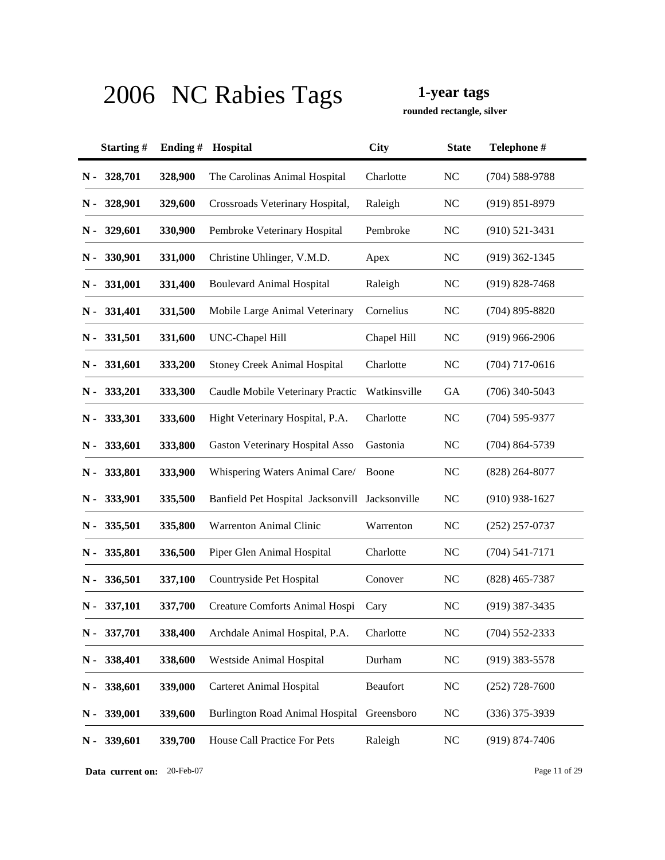**rounded rectangle, silver**

|       | Starting#     | Ending# | Hospital                                       | <b>City</b>  | <b>State</b> | Telephone #        |
|-------|---------------|---------|------------------------------------------------|--------------|--------------|--------------------|
| $N -$ | 328,701       | 328,900 | The Carolinas Animal Hospital                  | Charlotte    | <b>NC</b>    | $(704)$ 588-9788   |
| N -   | 328,901       | 329,600 | Crossroads Veterinary Hospital,                | Raleigh      | NC           | $(919) 851 - 8979$ |
| N -   | 329,601       | 330,900 | Pembroke Veterinary Hospital                   | Pembroke     | <b>NC</b>    | $(910) 521 - 3431$ |
| N -   | 330,901       | 331,000 | Christine Uhlinger, V.M.D.                     | Apex         | <b>NC</b>    | $(919)$ 362-1345   |
| N -   | 331,001       | 331,400 | <b>Boulevard Animal Hospital</b>               | Raleigh      | <b>NC</b>    | $(919) 828 - 7468$ |
| N -   | 331,401       | 331,500 | Mobile Large Animal Veterinary                 | Cornelius    | <b>NC</b>    | $(704)$ 895-8820   |
|       | $N - 331,501$ | 331,600 | UNC-Chapel Hill                                | Chapel Hill  | <b>NC</b>    | $(919)$ 966-2906   |
| N -   | 331,601       | 333,200 | Stoney Creek Animal Hospital                   | Charlotte    | <b>NC</b>    | $(704)$ 717-0616   |
| N -   | 333,201       | 333,300 | Caudle Mobile Veterinary Practic               | Watkinsville | <b>GA</b>    | $(706)$ 340-5043   |
| N -   | 333,301       | 333,600 | Hight Veterinary Hospital, P.A.                | Charlotte    | <b>NC</b>    | $(704)$ 595-9377   |
| N -   | 333,601       | 333,800 | <b>Gaston Veterinary Hospital Asso</b>         | Gastonia     | <b>NC</b>    | $(704) 864 - 5739$ |
| N -   | 333,801       | 333,900 | Whispering Waters Animal Care/                 | Boone        | <b>NC</b>    | $(828)$ 264-8077   |
| N -   | 333,901       | 335,500 | Banfield Pet Hospital Jacksonvill Jacksonville |              | <b>NC</b>    | $(910)$ 938-1627   |
| N -   | 335,501       | 335,800 | Warrenton Animal Clinic                        | Warrenton    | <b>NC</b>    | $(252)$ 257-0737   |
| N -   | 335,801       | 336,500 | Piper Glen Animal Hospital                     | Charlotte    | <b>NC</b>    | $(704) 541 - 7171$ |
| N -   | 336,501       | 337,100 | Countryside Pet Hospital                       | Conover      | <b>NC</b>    | $(828)$ 465-7387   |
| N -   | 337,101       | 337,700 | Creature Comforts Animal Hospi                 | Cary         | <b>NC</b>    | $(919)$ 387-3435   |
| $N -$ | 337,701       | 338,400 | Archdale Animal Hospital, P.A.                 | Charlotte    | <b>NC</b>    | $(704)$ 552-2333   |
| $N -$ | 338,401       | 338,600 | Westside Animal Hospital                       | Durham       | <b>NC</b>    | $(919)$ 383-5578   |
| $N -$ | 338,601       | 339,000 | <b>Carteret Animal Hospital</b>                | Beaufort     | <b>NC</b>    | $(252)$ 728-7600   |
| N-    | 339,001       | 339,600 | <b>Burlington Road Animal Hospital</b>         | Greensboro   | <b>NC</b>    | $(336)$ 375-3939   |
| $N -$ | 339,601       | 339,700 | House Call Practice For Pets                   | Raleigh      | <b>NC</b>    | $(919) 874 - 7406$ |

**Data current on:** 20-Feb-07 Page 11 of 29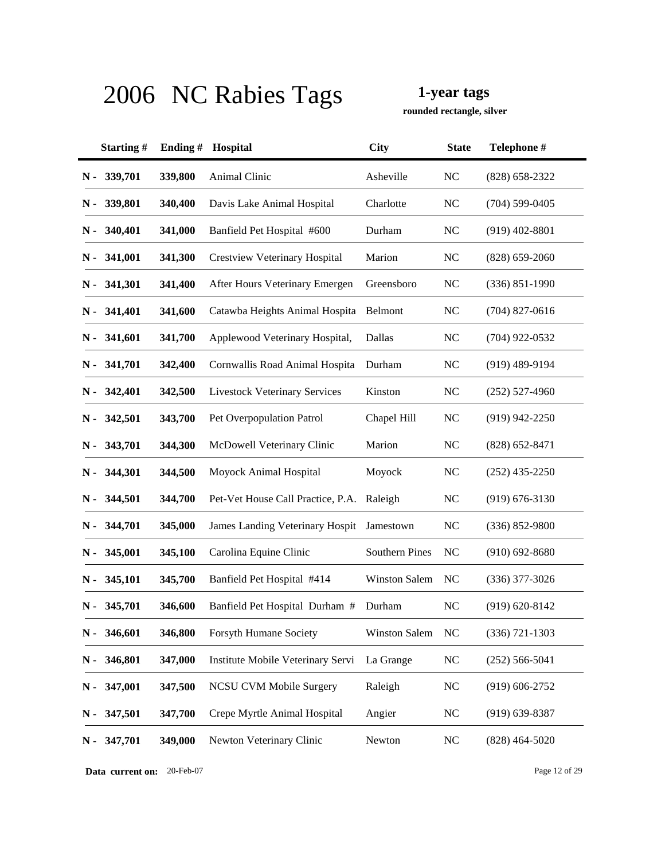**rounded rectangle, silver**

|               | Starting#     | Ending# | Hospital                               | <b>City</b>          | <b>State</b>   | Telephone #        |
|---------------|---------------|---------|----------------------------------------|----------------------|----------------|--------------------|
| $N -$         | 339,701       | 339,800 | Animal Clinic                          | Asheville            | <b>NC</b>      | $(828)$ 658-2322   |
| N -           | 339,801       | 340,400 | Davis Lake Animal Hospital             | Charlotte            | <b>NC</b>      | $(704)$ 599-0405   |
| N -           | 340,401       | 341,000 | Banfield Pet Hospital #600             | Durham               | <b>NC</b>      | $(919)$ 402-8801   |
|               | $N - 341,001$ | 341,300 | <b>Crestview Veterinary Hospital</b>   | Marion               | <b>NC</b>      | $(828) 659 - 2060$ |
| N -           | 341,301       | 341,400 | After Hours Veterinary Emergen         | Greensboro           | <b>NC</b>      | $(336) 851 - 1990$ |
| N -           | 341,401       | 341,600 | Catawba Heights Animal Hospita         | Belmont              | <b>NC</b>      | $(704)$ 827-0616   |
|               | $N - 341,601$ | 341,700 | Applewood Veterinary Hospital,         | Dallas               | <b>NC</b>      | $(704)$ 922-0532   |
| N -           | 341,701       | 342,400 | Cornwallis Road Animal Hospita         | Durham               | <b>NC</b>      | $(919)$ 489-9194   |
| N -           | 342,401       | 342,500 | <b>Livestock Veterinary Services</b>   | Kinston              | <b>NC</b>      | $(252)$ 527-4960   |
| N -           | 342,501       | 343,700 | Pet Overpopulation Patrol              | Chapel Hill          | <b>NC</b>      | $(919)$ 942-2250   |
| N -           | 343,701       | 344,300 | McDowell Veterinary Clinic             | Marion               | <b>NC</b>      | $(828)$ 652-8471   |
| N -           | 344,301       | 344,500 | Moyock Animal Hospital                 | Moyock               | <b>NC</b>      | $(252)$ 435-2250   |
| N -           | 344,501       | 344,700 | Pet-Vet House Call Practice, P.A.      | Raleigh              | <b>NC</b>      | $(919) 676 - 3130$ |
| N -           | 344,701       | 345,000 | <b>James Landing Veterinary Hospit</b> | Jamestown            | <b>NC</b>      | $(336) 852 - 9800$ |
| N -           | 345,001       | 345,100 | Carolina Equine Clinic                 | Southern Pines       | <b>NC</b>      | $(910)$ 692-8680   |
| N -           | 345,101       | 345,700 | Banfield Pet Hospital #414             | <b>Winston Salem</b> | <b>NC</b>      | $(336)$ 377-3026   |
| N -           | 345,701       | 346,600 | Banfield Pet Hospital Durham #         | Durham               | N <sub>C</sub> | $(919) 620 - 8142$ |
| $\mathbf N$ - | 346,601       | 346,800 | <b>Forsyth Humane Society</b>          | Winston Salem        | <b>NC</b>      | $(336)$ 721-1303   |
| N -           | 346,801       | 347,000 | Institute Mobile Veterinary Servi      | La Grange            | <b>NC</b>      | $(252)$ 566-5041   |
| $\mathbf N$ - | 347,001       | 347,500 | <b>NCSU CVM Mobile Surgery</b>         | Raleigh              | <b>NC</b>      | $(919) 606 - 2752$ |
| $N -$         | 347,501       | 347,700 | Crepe Myrtle Animal Hospital           | Angier               | <b>NC</b>      | $(919) 639 - 8387$ |
| $N -$         | 347,701       | 349,000 | Newton Veterinary Clinic               | Newton               | <b>NC</b>      | $(828)$ 464-5020   |

**Data current on:** 20-Feb-07 Page 12 of 29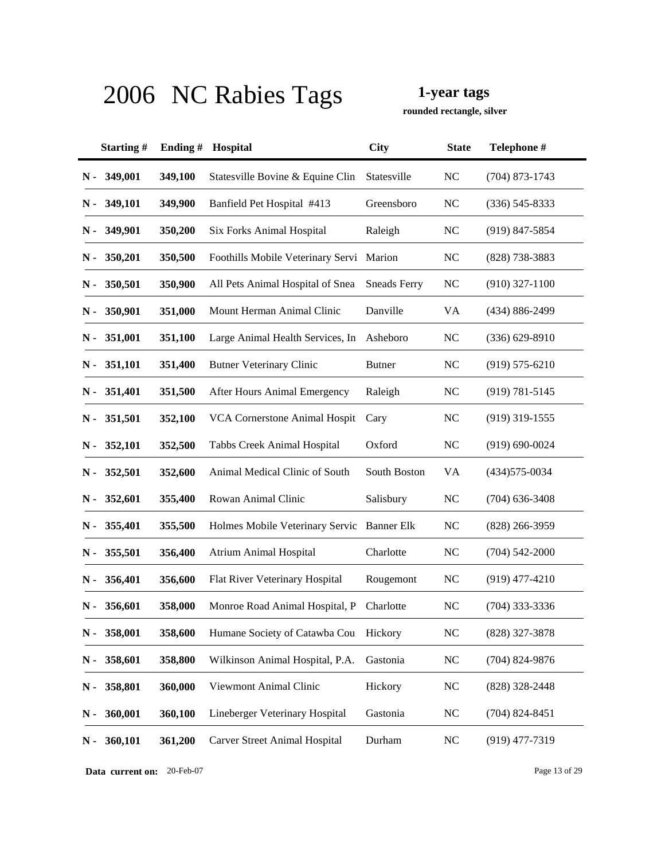**rounded rectangle, silver**

|       | Starting# | Ending $#$ | Hospital                                   | <b>City</b>         | <b>State</b>   | Telephone #        |
|-------|-----------|------------|--------------------------------------------|---------------------|----------------|--------------------|
| N -   | 349,001   | 349,100    | Statesville Bovine & Equine Clin           | Statesville         | <b>NC</b>      | $(704)$ 873-1743   |
| N -   | 349,101   | 349,900    | Banfield Pet Hospital #413                 | Greensboro          | <b>NC</b>      | $(336) 545 - 8333$ |
| N -   | 349,901   | 350,200    | Six Forks Animal Hospital                  | Raleigh             | N <sub>C</sub> | $(919)$ 847-5854   |
| N -   | 350,201   | 350,500    | Foothills Mobile Veterinary Servi          | Marion              | N <sub>C</sub> | $(828)$ 738-3883   |
| N -   | 350,501   | 350,900    | All Pets Animal Hospital of Snea           | <b>Sneads Ferry</b> | N <sub>C</sub> | $(910)$ 327-1100   |
| N -   | 350,901   | 351,000    | Mount Herman Animal Clinic                 | Danville            | VA             | (434) 886-2499     |
| N -   | 351,001   | 351,100    | Large Animal Health Services, In           | Asheboro            | NC             | $(336)$ 629-8910   |
| N -   | 351,101   | 351,400    | <b>Butner Veterinary Clinic</b>            | <b>Butner</b>       | <b>NC</b>      | $(919) 575 - 6210$ |
| N -   | 351,401   | 351,500    | After Hours Animal Emergency               | Raleigh             | <b>NC</b>      | $(919) 781 - 5145$ |
| N -   | 351,501   | 352,100    | VCA Cornerstone Animal Hospit              | Cary                | <b>NC</b>      | $(919)$ 319-1555   |
| N -   | 352,101   | 352,500    | Tabbs Creek Animal Hospital                | Oxford              | <b>NC</b>      | $(919) 690 - 0024$ |
| N -   | 352,501   | 352,600    | Animal Medical Clinic of South             | South Boston        | <b>VA</b>      | $(434)575 - 0034$  |
| N -   | 352,601   | 355,400    | Rowan Animal Clinic                        | Salisbury           | <b>NC</b>      | $(704)$ 636-3408   |
| N -   | 355,401   | 355,500    | Holmes Mobile Veterinary Servic Banner Elk |                     | <b>NC</b>      | $(828)$ 266-3959   |
| N -   | 355,501   | 356,400    | <b>Atrium Animal Hospital</b>              | Charlotte           | NC             | $(704) 542 - 2000$ |
| N -   | 356,401   | 356,600    | Flat River Veterinary Hospital             | Rougemont           | <b>NC</b>      | $(919)$ 477-4210   |
| N -   | 356,601   | 358,000    | Monroe Road Animal Hospital, P             | Charlotte           | N <sub>C</sub> | $(704)$ 333-3336   |
| $N -$ | 358,001   | 358,600    | Humane Society of Catawba Cou              | Hickory             | <b>NC</b>      | (828) 327-3878     |
| $N -$ | 358,601   | 358,800    | Wilkinson Animal Hospital, P.A.            | Gastonia            | NC             | $(704)$ 824-9876   |
| $N -$ | 358,801   | 360,000    | Viewmont Animal Clinic                     | Hickory             | <b>NC</b>      | $(828)$ 328-2448   |
| $N -$ | 360,001   | 360,100    | Lineberger Veterinary Hospital             | Gastonia            | <b>NC</b>      | $(704)$ 824-8451   |
| $N -$ | 360,101   | 361,200    | <b>Carver Street Animal Hospital</b>       | Durham              | <b>NC</b>      | $(919)$ 477-7319   |

**Data current on:** 20-Feb-07 Page 13 of 29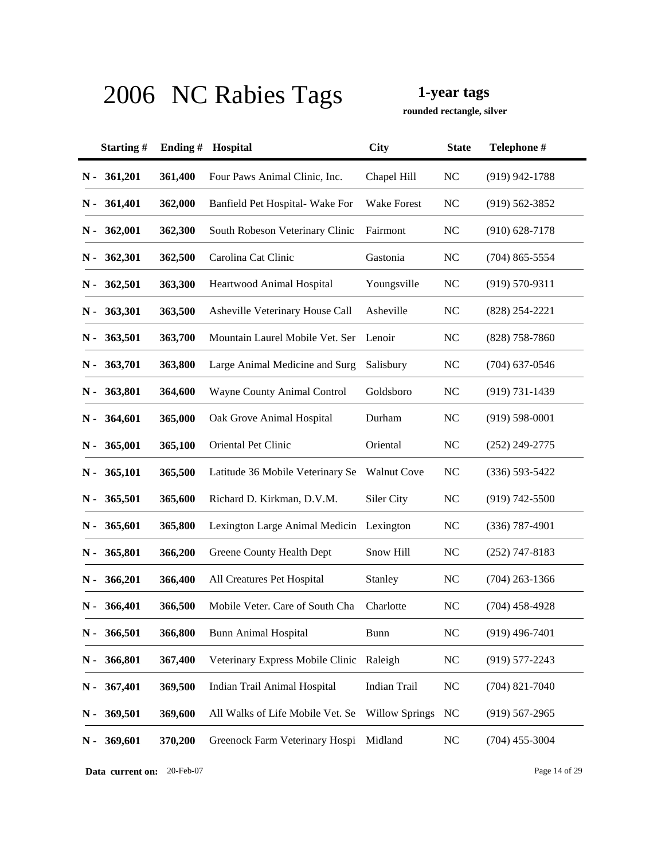**rounded rectangle, silver**

|               | Starting# | Ending# | Hospital                                 | <b>City</b>           | <b>State</b>   | Telephone #        |
|---------------|-----------|---------|------------------------------------------|-----------------------|----------------|--------------------|
| $N -$         | 361,201   | 361,400 | Four Paws Animal Clinic, Inc.            | Chapel Hill           | <b>NC</b>      | $(919)$ 942-1788   |
| N -           | 361,401   | 362,000 | Banfield Pet Hospital- Wake For          | <b>Wake Forest</b>    | <b>NC</b>      | $(919) 562 - 3852$ |
| N -           | 362,001   | 362,300 | South Robeson Veterinary Clinic          | Fairmont              | <b>NC</b>      | $(910)$ 628-7178   |
| N -           | 362,301   | 362,500 | Carolina Cat Clinic                      | Gastonia              | <b>NC</b>      | $(704)$ 865-5554   |
| N -           | 362,501   | 363,300 | Heartwood Animal Hospital                | Youngsville           | <b>NC</b>      | $(919) 570 - 9311$ |
| N -           | 363,301   | 363,500 | Asheville Veterinary House Call          | Asheville             | <b>NC</b>      | $(828)$ 254-2221   |
| N -           | 363,501   | 363,700 | Mountain Laurel Mobile Vet. Ser          | Lenoir                | <b>NC</b>      | $(828)$ 758-7860   |
| N -           | 363,701   | 363,800 | Large Animal Medicine and Surg           | Salisbury             | <b>NC</b>      | $(704)$ 637-0546   |
| N -           | 363,801   | 364,600 | Wayne County Animal Control              | Goldsboro             | <b>NC</b>      | $(919) 731 - 1439$ |
| N -           | 364,601   | 365,000 | Oak Grove Animal Hospital                | Durham                | <b>NC</b>      | $(919) 598 - 0001$ |
| N -           | 365,001   | 365,100 | Oriental Pet Clinic                      | Oriental              | <b>NC</b>      | $(252)$ 249-2775   |
| N -           | 365,101   | 365,500 | Latitude 36 Mobile Veterinary Se         | <b>Walnut Cove</b>    | <b>NC</b>      | $(336) 593 - 5422$ |
| N -           | 365,501   | 365,600 | Richard D. Kirkman, D.V.M.               | Siler City            | <b>NC</b>      | $(919) 742 - 5500$ |
| N -           | 365,601   | 365,800 | Lexington Large Animal Medicin Lexington |                       | <b>NC</b>      | $(336)$ 787-4901   |
| N -           | 365,801   | 366,200 | Greene County Health Dept                | Snow Hill             | NC             | $(252)$ 747-8183   |
| N -           | 366,201   | 366,400 | All Creatures Pet Hospital               | Stanley               | <b>NC</b>      | $(704)$ 263-1366   |
| N -           | 366,401   | 366,500 | Mobile Veter. Care of South Cha          | Charlotte             | <b>NC</b>      | $(704)$ 458-4928   |
| $\mathbf N$ - | 366,501   | 366,800 | <b>Bunn Animal Hospital</b>              | Bunn                  | <b>NC</b>      | $(919)$ 496-7401   |
| $N -$         | 366,801   | 367,400 | Veterinary Express Mobile Clinic         | Raleigh               | <b>NC</b>      | $(919)$ 577-2243   |
| $\mathbf N$ - | 367,401   | 369,500 | Indian Trail Animal Hospital             | Indian Trail          | N <sub>C</sub> | $(704)$ 821-7040   |
| $\mathbf N$ - | 369,501   | 369,600 | All Walks of Life Mobile Vet. Se         | <b>Willow Springs</b> | NC             | $(919) 567 - 2965$ |
| $N -$         | 369,601   | 370,200 | Greenock Farm Veterinary Hospi           | Midland               | <b>NC</b>      | $(704)$ 455-3004   |

**Data current on:** 20-Feb-07 Page 14 of 29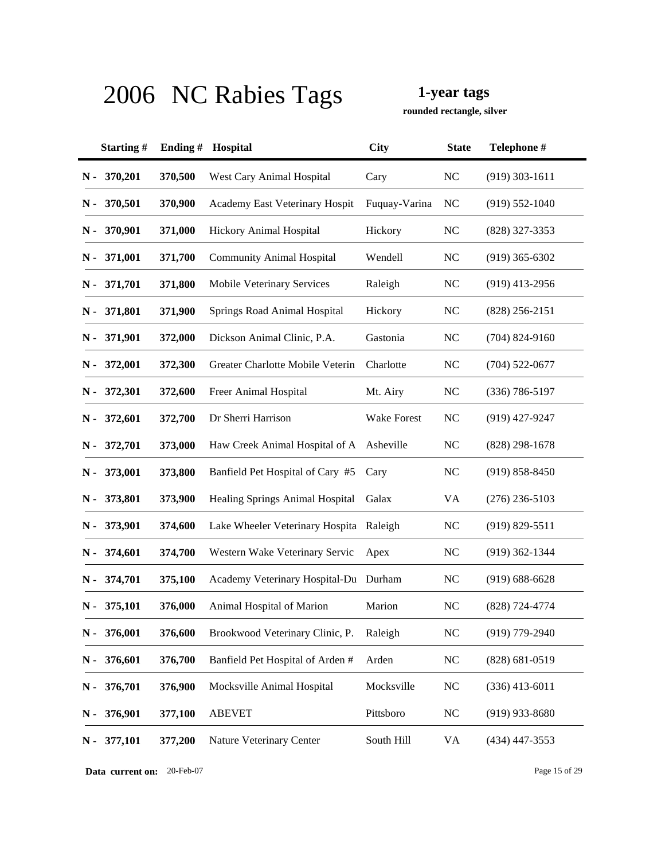**rounded rectangle, silver**

|               | Starting#     | Ending $#$ | <b>Hospital</b>                          | <b>City</b>   | <b>State</b>   | Telephone #        |
|---------------|---------------|------------|------------------------------------------|---------------|----------------|--------------------|
| N -           | 370,201       | 370,500    | West Cary Animal Hospital                | Cary          | <b>NC</b>      | $(919)$ 303-1611   |
| N -           | 370,501       | 370,900    | Academy East Veterinary Hospit           | Fuquay-Varina | NC             | $(919) 552 - 1040$ |
| N -           | 370,901       | 371,000    | Hickory Animal Hospital                  | Hickory       | <b>NC</b>      | $(828)$ 327-3353   |
| N -           | 371,001       | 371,700    | <b>Community Animal Hospital</b>         | Wendell       | <b>NC</b>      | $(919)$ 365-6302   |
| $\mathbf N$ - | 371,701       | 371,800    | Mobile Veterinary Services               | Raleigh       | <b>NC</b>      | $(919)$ 413-2956   |
| N -           | 371,801       | 371,900    | Springs Road Animal Hospital             | Hickory       | <b>NC</b>      | $(828)$ 256-2151   |
|               | $N - 371,901$ | 372,000    | Dickson Animal Clinic, P.A.              | Gastonia      | <b>NC</b>      | $(704)$ 824-9160   |
|               | $N - 372,001$ | 372,300    | Greater Charlotte Mobile Veterin         | Charlotte     | <b>NC</b>      | $(704)$ 522-0677   |
| N -           | 372,301       | 372,600    | Freer Animal Hospital                    | Mt. Airy      | NC             | $(336)$ 786-5197   |
| N -           | 372,601       | 372,700    | Dr Sherri Harrison                       | Wake Forest   | NC             | $(919)$ 427-9247   |
| N -           | 372,701       | 373,000    | Haw Creek Animal Hospital of A Asheville |               | <b>NC</b>      | $(828)$ 298-1678   |
| N -           | 373,001       | 373,800    | Banfield Pet Hospital of Cary #5         | Cary          | <b>NC</b>      | $(919) 858 - 8450$ |
| N -           | 373,801       | 373,900    | Healing Springs Animal Hospital          | Galax         | VA             | $(276)$ 236-5103   |
| N -           | 373,901       | 374,600    | Lake Wheeler Veterinary Hospita Raleigh  |               | NC             | $(919) 829 - 5511$ |
| N -           | 374,601       | 374,700    | Western Wake Veterinary Servic           | Apex          | NC             | $(919)$ 362-1344   |
| N -           | 374,701       | 375,100    | Academy Veterinary Hospital-Du Durham    |               | NC             | $(919) 688 - 6628$ |
| N -           | 375,101       | 376,000    | Animal Hospital of Marion                | Marion        | <b>NC</b>      | $(828) 724 - 4774$ |
| N -           | 376,001       | 376,600    | Brookwood Veterinary Clinic, P.          | Raleigh       | <b>NC</b>      | (919) 779-2940     |
| $N -$         | 376,601       | 376,700    | Banfield Pet Hospital of Arden #         | Arden         | NC             | $(828) 681 - 0519$ |
| $N -$         | 376,701       | 376,900    | Mocksville Animal Hospital               | Mocksville    | N <sub>C</sub> | $(336)$ 413-6011   |
| $N -$         | 376,901       | 377,100    | <b>ABEVET</b>                            | Pittsboro     | N <sub>C</sub> | $(919)$ 933-8680   |
| $N -$         | 377,101       | 377,200    | Nature Veterinary Center                 | South Hill    | <b>VA</b>      | $(434)$ 447-3553   |

**Data current on:** 20-Feb-07 Page 15 of 29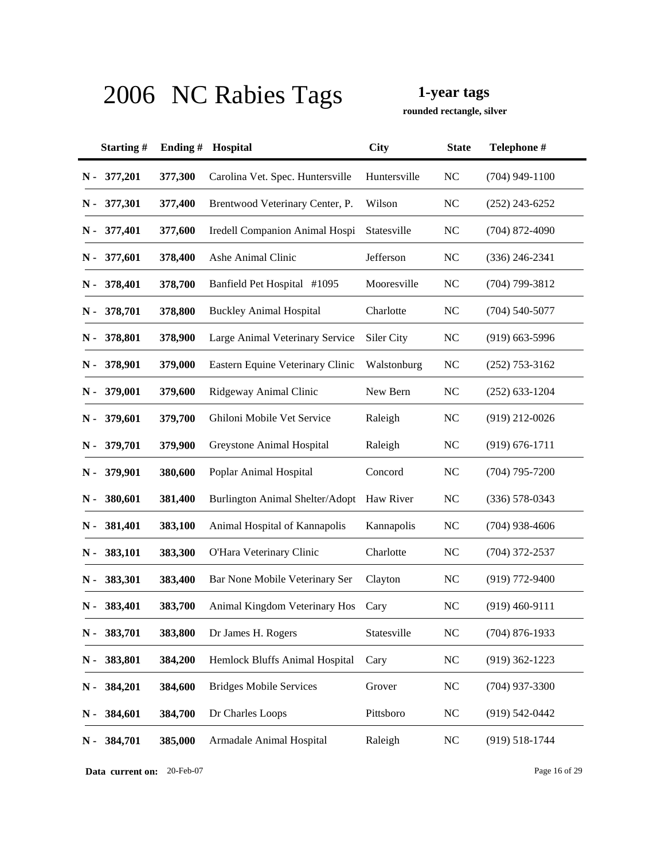**rounded rectangle, silver**

|       | Starting#   | Ending # | Hospital                               | <b>City</b>  | <b>State</b>   | Telephone #        |
|-------|-------------|----------|----------------------------------------|--------------|----------------|--------------------|
| $N -$ | 377,201     | 377,300  | Carolina Vet. Spec. Huntersville       | Huntersville | <b>NC</b>      | $(704)$ 949-1100   |
| N -   | 377,301     | 377,400  | Brentwood Veterinary Center, P.        | Wilson       | NC             | $(252)$ 243-6252   |
| N -   | 377,401     | 377,600  | Iredell Companion Animal Hospi         | Statesville  | NC             | $(704)$ 872-4090   |
| N -   | 377,601     | 378,400  | Ashe Animal Clinic                     | Jefferson    | <b>NC</b>      | $(336)$ 246-2341   |
| N -   | 378,401     | 378,700  | Banfield Pet Hospital #1095            | Mooresville  | <b>NC</b>      | $(704)$ 799-3812   |
| N -   | 378,701     | 378,800  | <b>Buckley Animal Hospital</b>         | Charlotte    | <b>NC</b>      | $(704)$ 540-5077   |
|       | N - 378,801 | 378,900  | Large Animal Veterinary Service        | Siler City   | N <sub>C</sub> | $(919)$ 663-5996   |
| N -   | 378,901     | 379,000  | Eastern Equine Veterinary Clinic       | Walstonburg  | <b>NC</b>      | $(252)$ 753-3162   |
| N -   | 379,001     | 379,600  | Ridgeway Animal Clinic                 | New Bern     | <b>NC</b>      | $(252) 633 - 1204$ |
| N -   | 379,601     | 379,700  | Ghiloni Mobile Vet Service             | Raleigh      | <b>NC</b>      | $(919)$ 212-0026   |
| N -   | 379,701     | 379,900  | Greystone Animal Hospital              | Raleigh      | <b>NC</b>      | $(919) 676 - 1711$ |
| N -   | 379,901     | 380,600  | Poplar Animal Hospital                 | Concord      | <b>NC</b>      | $(704)$ 795-7200   |
| N -   | 380,601     | 381,400  | <b>Burlington Animal Shelter/Adopt</b> | Haw River    | <b>NC</b>      | $(336) 578 - 0343$ |
| N -   | 381,401     | 383,100  | Animal Hospital of Kannapolis          | Kannapolis   | NC             | $(704)$ 938-4606   |
| N -   | 383,101     | 383,300  | O'Hara Veterinary Clinic               | Charlotte    | <b>NC</b>      | $(704)$ 372-2537   |
| N -   | 383,301     | 383,400  | Bar None Mobile Veterinary Ser         | Clayton      | <b>NC</b>      | $(919) 772 - 9400$ |
| N -   | 383,401     | 383,700  | Animal Kingdom Veterinary Hos          | Cary         | NC             | $(919)$ 460-9111   |
| $N -$ | 383,701     | 383,800  | Dr James H. Rogers                     | Statesville  | <b>NC</b>      | $(704)$ 876-1933   |
| $N -$ | 383,801     | 384,200  | Hemlock Bluffs Animal Hospital         | Cary         | <b>NC</b>      | $(919)$ 362-1223   |
| $N -$ | 384,201     | 384,600  | <b>Bridges Mobile Services</b>         | Grover       | <b>NC</b>      | $(704)$ 937-3300   |
| N-    | 384,601     | 384,700  | Dr Charles Loops                       | Pittsboro    | <b>NC</b>      | $(919) 542 - 0442$ |
| $N -$ | 384,701     | 385,000  | Armadale Animal Hospital               | Raleigh      | <b>NC</b>      | $(919) 518 - 1744$ |

**Data current on:** 20-Feb-07 Page 16 of 29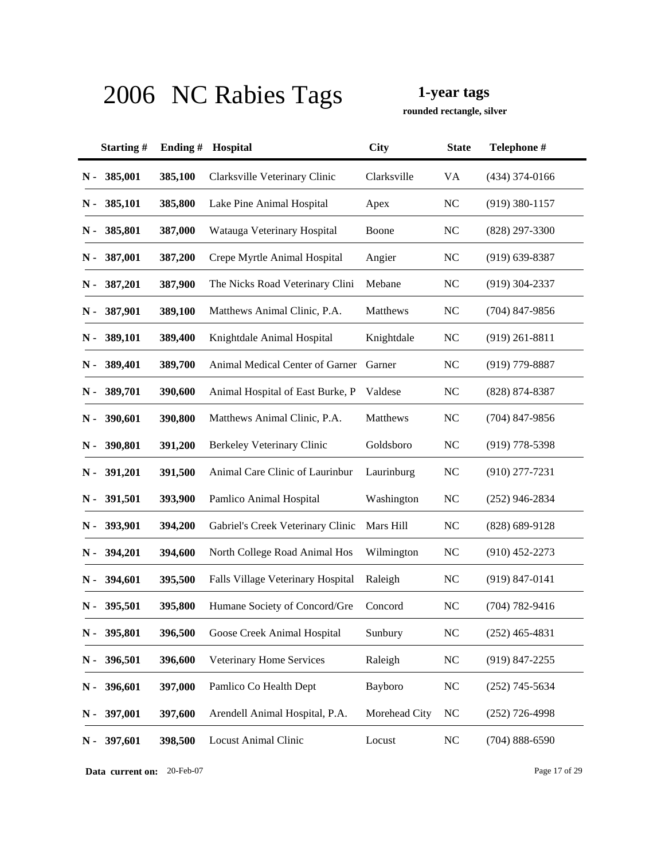**rounded rectangle, silver**

|       | Starting# | Ending# | Hospital                          | <b>City</b>   | <b>State</b> | Telephone #        |
|-------|-----------|---------|-----------------------------------|---------------|--------------|--------------------|
| $N -$ | 385,001   | 385,100 | Clarksville Veterinary Clinic     | Clarksville   | VA           | $(434)$ 374-0166   |
| N -   | 385,101   | 385,800 | Lake Pine Animal Hospital         | Apex          | NC           | $(919)$ 380-1157   |
| N -   | 385,801   | 387,000 | Watauga Veterinary Hospital       | Boone         | <b>NC</b>    | $(828)$ 297-3300   |
| N -   | 387,001   | 387,200 | Crepe Myrtle Animal Hospital      | Angier        | NC           | $(919)$ 639-8387   |
| N -   | 387,201   | 387,900 | The Nicks Road Veterinary Clini   | Mebane        | <b>NC</b>    | $(919)$ 304-2337   |
| N -   | 387,901   | 389,100 | Matthews Animal Clinic, P.A.      | Matthews      | <b>NC</b>    | $(704)$ 847-9856   |
| N -   | 389,101   | 389,400 | Knightdale Animal Hospital        | Knightdale    | <b>NC</b>    | $(919)$ 261-8811   |
| N -   | 389,401   | 389,700 | Animal Medical Center of Garner   | Garner        | <b>NC</b>    | $(919)$ 779-8887   |
| N -   | 389,701   | 390,600 | Animal Hospital of East Burke, P  | Valdese       | <b>NC</b>    | (828) 874-8387     |
| N -   | 390,601   | 390,800 | Matthews Animal Clinic, P.A.      | Matthews      | <b>NC</b>    | $(704)$ 847-9856   |
| N -   | 390,801   | 391,200 | Berkeley Veterinary Clinic        | Goldsboro     | <b>NC</b>    | $(919)$ 778-5398   |
| N -   | 391,201   | 391,500 | Animal Care Clinic of Laurinbur   | Laurinburg    | <b>NC</b>    | $(910)$ 277-7231   |
| N -   | 391,501   | 393,900 | Pamlico Animal Hospital           | Washington    | NC           | $(252)$ 946-2834   |
| N -   | 393,901   | 394,200 | Gabriel's Creek Veterinary Clinic | Mars Hill     | <b>NC</b>    | $(828)$ 689-9128   |
| N -   | 394,201   | 394,600 | North College Road Animal Hos     | Wilmington    | NC           | $(910)$ 452-2273   |
| N -   | 394,601   | 395,500 | Falls Village Veterinary Hospital | Raleigh       | <b>NC</b>    | $(919) 847 - 0141$ |
| N -   | 395,501   | 395,800 | Humane Society of Concord/Gre     | Concord       | <b>NC</b>    | $(704) 782 - 9416$ |
| $N -$ | 395,801   | 396,500 | Goose Creek Animal Hospital       | Sunbury       | <b>NC</b>    | $(252)$ 465-4831   |
| $N -$ | 396,501   | 396,600 | Veterinary Home Services          | Raleigh       | <b>NC</b>    | (919) 847-2255     |
| $N -$ | 396,601   | 397,000 | Pamlico Co Health Dept            | Bayboro       | <b>NC</b>    | $(252)$ 745-5634   |
| $N -$ | 397,001   | 397,600 | Arendell Animal Hospital, P.A.    | Morehead City | <b>NC</b>    | $(252)$ 726-4998   |
| $N -$ | 397,601   | 398,500 | <b>Locust Animal Clinic</b>       | Locust        | <b>NC</b>    | $(704) 888 - 6590$ |

**Data current on:** 20-Feb-07 Page 17 of 29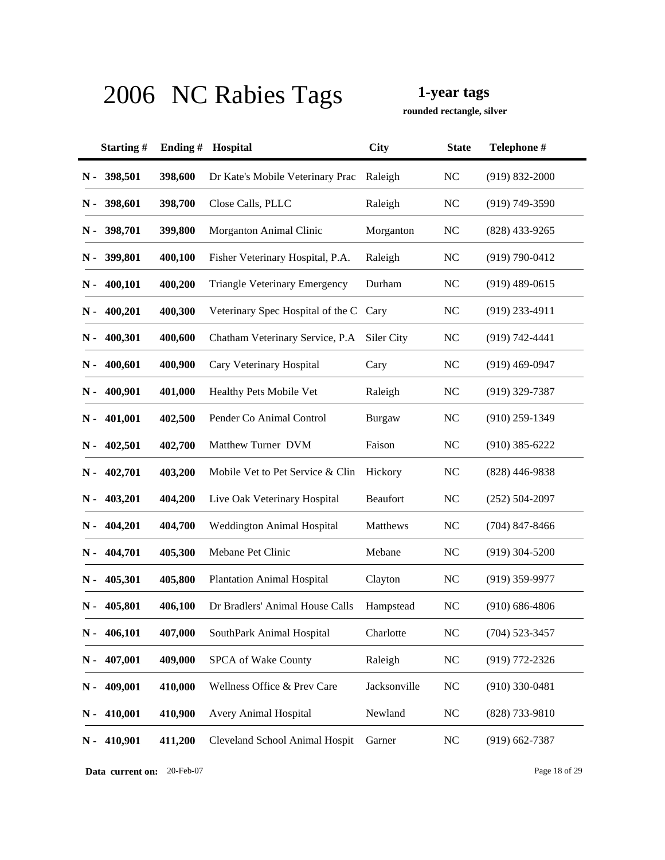**rounded rectangle, silver**

|               | Starting# | Ending# | Hospital                               | <b>City</b>  | <b>State</b> | Telephone #        |
|---------------|-----------|---------|----------------------------------------|--------------|--------------|--------------------|
| $N -$         | 398,501   | 398,600 | Dr Kate's Mobile Veterinary Prac       | Raleigh      | <b>NC</b>    | $(919) 832 - 2000$ |
| N -           | 398,601   | 398,700 | Close Calls, PLLC                      | Raleigh      | NC           | $(919) 749 - 3590$ |
| N -           | 398,701   | 399,800 | Morganton Animal Clinic                | Morganton    | <b>NC</b>    | $(828)$ 433-9265   |
| N -           | 399,801   | 400,100 | Fisher Veterinary Hospital, P.A.       | Raleigh      | <b>NC</b>    | $(919) 790 - 0412$ |
| N -           | 400,101   | 400,200 | <b>Triangle Veterinary Emergency</b>   | Durham       | <b>NC</b>    | $(919)$ 489-0615   |
| N -           | 400,201   | 400,300 | Veterinary Spec Hospital of the C Cary |              | <b>NC</b>    | (919) 233-4911     |
| N -           | 400,301   | 400,600 | Chatham Veterinary Service, P.A.       | Siler City   | <b>NC</b>    | $(919) 742 - 4441$ |
| N -           | 400,601   | 400,900 | Cary Veterinary Hospital               | Cary         | <b>NC</b>    | $(919)$ 469-0947   |
| N -           | 400,901   | 401,000 | Healthy Pets Mobile Vet                | Raleigh      | <b>NC</b>    | $(919)$ 329-7387   |
| N -           | 401,001   | 402,500 | Pender Co Animal Control               | Burgaw       | <b>NC</b>    | $(910)$ 259-1349   |
| N -           | 402,501   | 402,700 | Matthew Turner DVM                     | Faison       | <b>NC</b>    | $(910)$ 385-6222   |
| N -           | 402,701   | 403,200 | Mobile Vet to Pet Service & Clin       | Hickory      | <b>NC</b>    | $(828)$ 446-9838   |
| N -           | 403,201   | 404,200 | Live Oak Veterinary Hospital           | Beaufort     | <b>NC</b>    | $(252) 504 - 2097$ |
| N -           | 404,201   | 404,700 | <b>Weddington Animal Hospital</b>      | Matthews     | <b>NC</b>    | $(704)$ 847-8466   |
| N -           | 404,701   | 405,300 | Mebane Pet Clinic                      | Mebane       | <b>NC</b>    | $(919)$ 304-5200   |
| N -           | 405,301   | 405,800 | <b>Plantation Animal Hospital</b>      | Clayton      | <b>NC</b>    | $(919)$ 359-9977   |
| N -           | 405,801   | 406,100 | Dr Bradlers' Animal House Calls        | Hampstead    | <b>NC</b>    | $(910) 686 - 4806$ |
| $\mathbf N$ - | 406,101   | 407,000 | SouthPark Animal Hospital              | Charlotte    | <b>NC</b>    | $(704)$ 523-3457   |
| $N -$         | 407,001   | 409,000 | SPCA of Wake County                    | Raleigh      | NC           | $(919) 772 - 2326$ |
| $N -$         | 409,001   | 410,000 | Wellness Office & Prev Care            | Jacksonville | <b>NC</b>    | $(910)$ 330-0481   |
| $N -$         | 410,001   | 410,900 | <b>Avery Animal Hospital</b>           | Newland      | <b>NC</b>    | (828) 733-9810     |
| $N -$         | 410,901   | 411,200 | Cleveland School Animal Hospit         | Garner       | <b>NC</b>    | $(919) 662 - 7387$ |

**Data current on:** 20-Feb-07 Page 18 of 29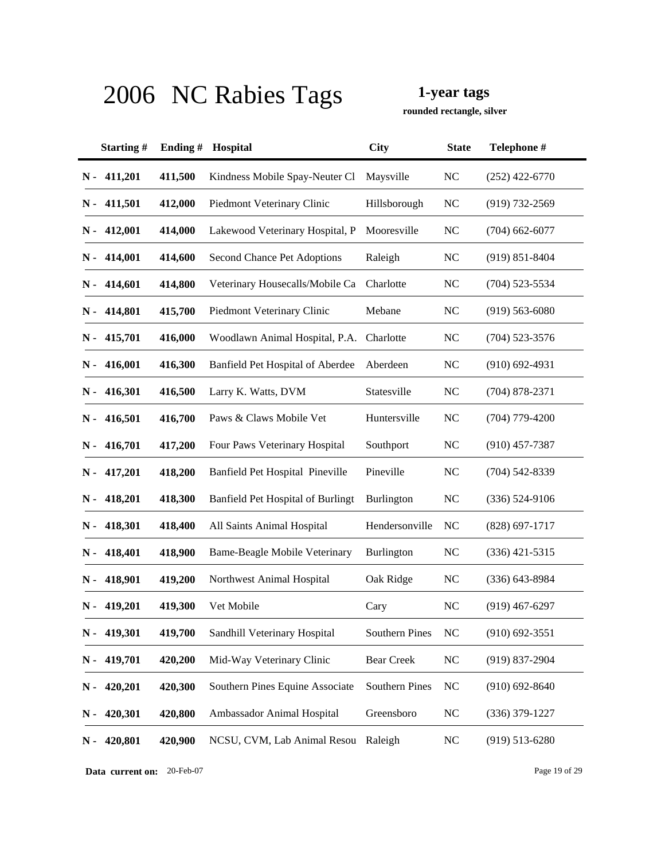**rounded rectangle, silver**

|               | Starting#     | Ending# | Hospital                             | <b>City</b>       | <b>State</b> | Telephone #        |
|---------------|---------------|---------|--------------------------------------|-------------------|--------------|--------------------|
|               | $N - 411,201$ | 411,500 | Kindness Mobile Spay-Neuter Cl       | Maysville         | <b>NC</b>    | $(252)$ 422-6770   |
|               | $N - 411,501$ | 412,000 | Piedmont Veterinary Clinic           | Hillsborough      | <b>NC</b>    | (919) 732-2569     |
|               | $N - 412,001$ | 414,000 | Lakewood Veterinary Hospital, P      | Mooresville       | <b>NC</b>    | $(704)$ 662-6077   |
|               | $N - 414,001$ | 414,600 | Second Chance Pet Adoptions          | Raleigh           | <b>NC</b>    | $(919) 851 - 8404$ |
|               | $N - 414,601$ | 414,800 | Veterinary Housecalls/Mobile Ca      | Charlotte         | <b>NC</b>    | $(704)$ 523-5534   |
|               | $N - 414,801$ | 415,700 | Piedmont Veterinary Clinic           | Mebane            | <b>NC</b>    | $(919) 563 - 6080$ |
|               | $N - 415,701$ | 416,000 | Woodlawn Animal Hospital, P.A.       | Charlotte         | <b>NC</b>    | $(704)$ 523-3576   |
| $N -$         | 416,001       | 416,300 | Banfield Pet Hospital of Aberdee     | Aberdeen          | <b>NC</b>    | $(910)$ 692-4931   |
| $N -$         | 416,301       | 416,500 | Larry K. Watts, DVM                  | Statesville       | <b>NC</b>    | $(704)$ 878-2371   |
| $N -$         | 416,501       | 416,700 | Paws & Claws Mobile Vet              | Huntersville      | <b>NC</b>    | $(704)$ 779-4200   |
| $N -$         | 416,701       | 417,200 | Four Paws Veterinary Hospital        | Southport         | <b>NC</b>    | $(910)$ 457-7387   |
| $N -$         | 417,201       | 418,200 | Banfield Pet Hospital Pineville      | Pineville         | <b>NC</b>    | $(704)$ 542-8339   |
| $N -$         | 418,201       | 418,300 | Banfield Pet Hospital of Burlingt    | Burlington        | <b>NC</b>    | $(336) 524 - 9106$ |
| N -           | 418,301       | 418,400 | All Saints Animal Hospital           | Hendersonville    | <b>NC</b>    | $(828) 697 - 1717$ |
| N -           | 418,401       | 418,900 | <b>Bame-Beagle Mobile Veterinary</b> | Burlington        | <b>NC</b>    | $(336)$ 421-5315   |
| N -           | 418,901       | 419,200 | Northwest Animal Hospital            | Oak Ridge         | <b>NC</b>    | $(336)$ 643-8984   |
| N -           | 419,201       | 419,300 | Vet Mobile                           | Cary              | <b>NC</b>    | $(919)$ 467-6297   |
|               | $N - 419,301$ | 419,700 | Sandhill Veterinary Hospital         | Southern Pines    | NC           | $(910)$ 692-3551   |
| N -           | 419,701       | 420,200 | Mid-Way Veterinary Clinic            | <b>Bear Creek</b> | <b>NC</b>    | $(919)$ 837-2904   |
| $\mathbf N$ - | 420,201       | 420,300 | Southern Pines Equine Associate      | Southern Pines    | <b>NC</b>    | $(910)$ 692-8640   |
| N-            | 420,301       | 420,800 | Ambassador Animal Hospital           | Greensboro        | <b>NC</b>    | $(336)$ 379-1227   |
| $N -$         | 420,801       | 420,900 | NCSU, CVM, Lab Animal Resou          | Raleigh           | <b>NC</b>    | $(919) 513 - 6280$ |

**Data current on:** 20-Feb-07 Page 19 of 29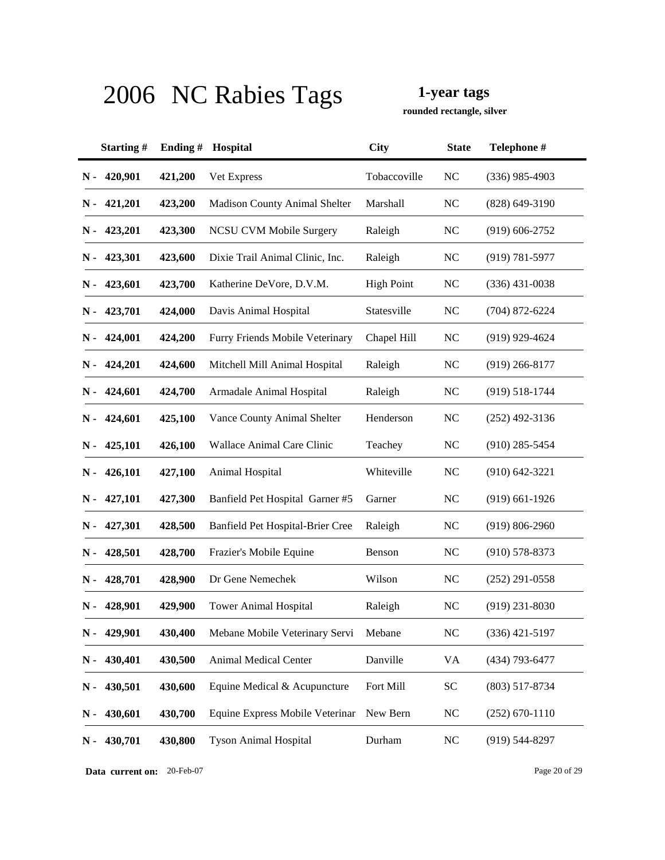**rounded rectangle, silver**

|               | Starting# | Ending# | Hospital                             | <b>City</b>       | <b>State</b> | Telephone #        |
|---------------|-----------|---------|--------------------------------------|-------------------|--------------|--------------------|
| $N -$         | 420,901   | 421,200 | Vet Express                          | Tobaccoville      | <b>NC</b>    | $(336)$ 985-4903   |
| N -           | 421,201   | 423,200 | <b>Madison County Animal Shelter</b> | Marshall          | <b>NC</b>    | $(828)$ 649-3190   |
| N -           | 423,201   | 423,300 | <b>NCSU CVM Mobile Surgery</b>       | Raleigh           | <b>NC</b>    | $(919)$ 606-2752   |
| N -           | 423,301   | 423,600 | Dixie Trail Animal Clinic, Inc.      | Raleigh           | <b>NC</b>    | $(919) 781 - 5977$ |
| N -           | 423,601   | 423,700 | Katherine DeVore, D.V.M.             | <b>High Point</b> | <b>NC</b>    | $(336)$ 431-0038   |
| N -           | 423,701   | 424,000 | Davis Animal Hospital                | Statesville       | <b>NC</b>    | $(704)$ 872-6224   |
| N -           | 424,001   | 424,200 | Furry Friends Mobile Veterinary      | Chapel Hill       | <b>NC</b>    | $(919)$ 929-4624   |
| N -           | 424,201   | 424,600 | Mitchell Mill Animal Hospital        | Raleigh           | <b>NC</b>    | $(919)$ 266-8177   |
| N -           | 424,601   | 424,700 | Armadale Animal Hospital             | Raleigh           | <b>NC</b>    | $(919) 518 - 1744$ |
| N -           | 424,601   | 425,100 | Vance County Animal Shelter          | Henderson         | <b>NC</b>    | $(252)$ 492-3136   |
| N -           | 425,101   | 426,100 | Wallace Animal Care Clinic           | Teachey           | <b>NC</b>    | $(910)$ 285-5454   |
| N -           | 426,101   | 427,100 | Animal Hospital                      | Whiteville        | <b>NC</b>    | $(910) 642 - 3221$ |
| N -           | 427,101   | 427,300 | Banfield Pet Hospital Garner #5      | Garner            | <b>NC</b>    | $(919)$ 661-1926   |
| N -           | 427,301   | 428,500 | Banfield Pet Hospital-Brier Cree     | Raleigh           | <b>NC</b>    | $(919) 806 - 2960$ |
| N -           | 428,501   | 428,700 | Frazier's Mobile Equine              | Benson            | <b>NC</b>    | $(910)$ 578-8373   |
| N -           | 428,701   | 428,900 | Dr Gene Nemechek                     | Wilson            | <b>NC</b>    | $(252)$ 291-0558   |
| N -           | 428,901   | 429,900 | <b>Tower Animal Hospital</b>         | Raleigh           | <b>NC</b>    | $(919)$ 231-8030   |
| $\mathbf N$ - | 429,901   | 430,400 | Mebane Mobile Veterinary Servi       | Mebane            | <b>NC</b>    | $(336)$ 421-5197   |
| $N -$         | 430,401   | 430,500 | <b>Animal Medical Center</b>         | Danville          | <b>VA</b>    | (434) 793-6477     |
| $N -$         | 430,501   | 430,600 | Equine Medical & Acupuncture         | Fort Mill         | <b>SC</b>    | $(803)$ 517-8734   |
| $N -$         | 430,601   | 430,700 | Equine Express Mobile Veterinar      | New Bern          | <b>NC</b>    | $(252) 670 - 1110$ |
| N-            | 430,701   | 430,800 | <b>Tyson Animal Hospital</b>         | Durham            | NC           | $(919) 544 - 8297$ |

**Data current on:** 20-Feb-07 Page 20 of 29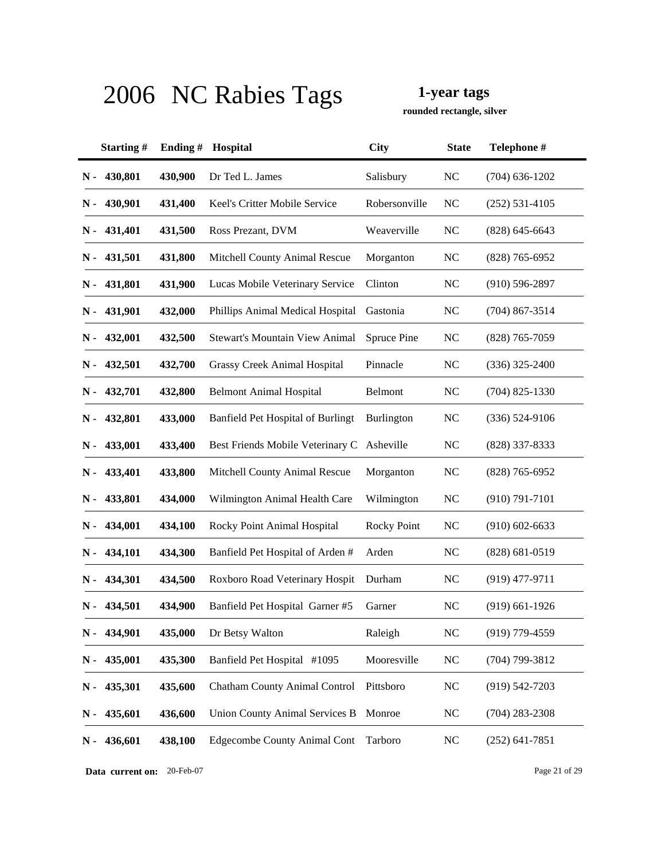**rounded rectangle, silver**

|               | Starting# | Ending# | Hospital                              | <b>City</b>        | <b>State</b>   | Telephone #        |
|---------------|-----------|---------|---------------------------------------|--------------------|----------------|--------------------|
| $N -$         | 430,801   | 430,900 | Dr Ted L. James                       | Salisbury          | <b>NC</b>      | $(704)$ 636-1202   |
| N -           | 430,901   | 431,400 | Keel's Critter Mobile Service         | Robersonville      | <b>NC</b>      | $(252) 531 - 4105$ |
| N -           | 431,401   | 431,500 | Ross Prezant, DVM                     | Weaverville        | <b>NC</b>      | $(828)$ 645-6643   |
| N -           | 431,501   | 431,800 | Mitchell County Animal Rescue         | Morganton          | <b>NC</b>      | $(828)$ 765-6952   |
| N -           | 431,801   | 431,900 | Lucas Mobile Veterinary Service       | Clinton            | <b>NC</b>      | $(910)$ 596-2897   |
| N -           | 431,901   | 432,000 | Phillips Animal Medical Hospital      | Gastonia           | <b>NC</b>      | $(704)$ 867-3514   |
| N -           | 432,001   | 432,500 | Stewart's Mountain View Animal        | <b>Spruce Pine</b> | <b>NC</b>      | $(828)$ 765-7059   |
| N -           | 432,501   | 432,700 | Grassy Creek Animal Hospital          | Pinnacle           | <b>NC</b>      | $(336)$ 325-2400   |
| N -           | 432,701   | 432,800 | <b>Belmont Animal Hospital</b>        | Belmont            | <b>NC</b>      | $(704)$ 825-1330   |
| N -           | 432,801   | 433,000 | Banfield Pet Hospital of Burlingt     | Burlington         | <b>NC</b>      | $(336) 524-9106$   |
| N -           | 433,001   | 433,400 | Best Friends Mobile Veterinary C      | Asheville          | <b>NC</b>      | (828) 337-8333     |
| N -           | 433,401   | 433,800 | Mitchell County Animal Rescue         | Morganton          | <b>NC</b>      | $(828)$ 765-6952   |
| N -           | 433,801   | 434,000 | Wilmington Animal Health Care         | Wilmington         | <b>NC</b>      | $(910) 791 - 7101$ |
| N -           | 434,001   | 434,100 | Rocky Point Animal Hospital           | <b>Rocky Point</b> | <b>NC</b>      | $(910)$ 602-6633   |
| N -           | 434,101   | 434,300 | Banfield Pet Hospital of Arden #      | Arden              | <b>NC</b>      | $(828) 681 - 0519$ |
| N -           | 434,301   | 434,500 | Roxboro Road Veterinary Hospit        | Durham             | <b>NC</b>      | $(919)$ 477-9711   |
| N -           | 434,501   | 434,900 | Banfield Pet Hospital Garner #5       | Garner             | <b>NC</b>      | $(919)$ 661-1926   |
| $\mathbf N$ - | 434,901   | 435,000 | Dr Betsy Walton                       | Raleigh            | N <sub>C</sub> | (919) 779-4559     |
| $N -$         | 435,001   | 435,300 | Banfield Pet Hospital #1095           | Mooresville        | <b>NC</b>      | $(704)$ 799-3812   |
| $\mathbf N$ - | 435,301   | 435,600 | <b>Chatham County Animal Control</b>  | Pittsboro          | <b>NC</b>      | $(919)$ 542-7203   |
| $N -$         | 435,601   | 436,600 | <b>Union County Animal Services B</b> | Monroe             | <b>NC</b>      | $(704)$ 283-2308   |
| $N -$         | 436,601   | 438,100 | <b>Edgecombe County Animal Cont</b>   | Tarboro            | <b>NC</b>      | $(252)$ 641-7851   |

**Data current on:** 20-Feb-07 Page 21 of 29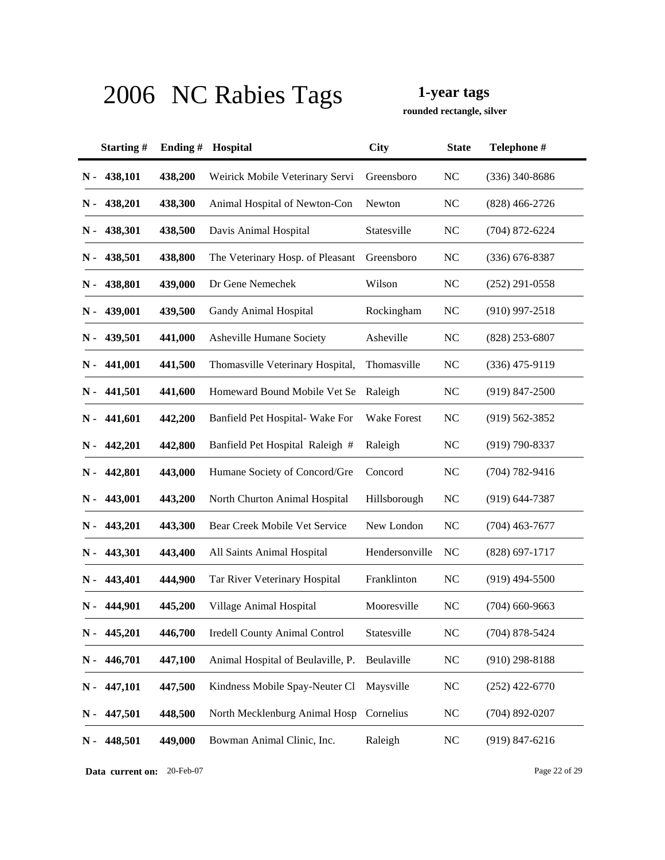**rounded rectangle, silver**

|       | Starting# | Ending $#$ | Hospital                             | <b>City</b>        | <b>State</b> | Telephone #        |
|-------|-----------|------------|--------------------------------------|--------------------|--------------|--------------------|
| $N -$ | 438,101   | 438,200    | Weirick Mobile Veterinary Servi      | Greensboro         | <b>NC</b>    | $(336)$ 340-8686   |
| N -   | 438,201   | 438,300    | Animal Hospital of Newton-Con        | Newton             | <b>NC</b>    | $(828)$ 466-2726   |
| N -   | 438,301   | 438,500    | Davis Animal Hospital                | Statesville        | <b>NC</b>    | $(704)$ 872-6224   |
| N -   | 438,501   | 438,800    | The Veterinary Hosp. of Pleasant     | Greensboro         | <b>NC</b>    | $(336)$ 676-8387   |
| N -   | 438,801   | 439,000    | Dr Gene Nemechek                     | Wilson             | <b>NC</b>    | $(252)$ 291-0558   |
| N -   | 439,001   | 439,500    | Gandy Animal Hospital                | Rockingham         | NC           | $(910)$ 997-2518   |
| N -   | 439,501   | 441,000    | Asheville Humane Society             | Asheville          | <b>NC</b>    | $(828)$ 253-6807   |
| N -   | 441,001   | 441,500    | Thomasville Veterinary Hospital,     | Thomasville        | NC           | $(336)$ 475-9119   |
| N -   | 441,501   | 441,600    | Homeward Bound Mobile Vet Se         | Raleigh            | <b>NC</b>    | $(919)$ 847-2500   |
| N -   | 441,601   | 442,200    | Banfield Pet Hospital-Wake For       | <b>Wake Forest</b> | NC           | $(919) 562 - 3852$ |
| N -   | 442,201   | 442,800    | Banfield Pet Hospital Raleigh #      | Raleigh            | <b>NC</b>    | $(919) 790 - 8337$ |
| N -   | 442,801   | 443,000    | Humane Society of Concord/Gre        | Concord            | NC           | $(704) 782 - 9416$ |
| N -   | 443,001   | 443,200    | North Churton Animal Hospital        | Hillsborough       | NC           | $(919) 644 - 7387$ |
| N -   | 443,201   | 443,300    | Bear Creek Mobile Vet Service        | New London         | NC           | $(704)$ 463-7677   |
| N -   | 443,301   | 443,400    | All Saints Animal Hospital           | Hendersonville     | NC           | $(828) 697 - 1717$ |
| N -   | 443,401   | 444,900    | Tar River Veterinary Hospital        | Franklinton        | <b>NC</b>    | $(919)$ 494-5500   |
| N -   | 444,901   | 445,200    | Village Animal Hospital              | Mooresville        | <b>NC</b>    | $(704)$ 660-9663   |
| N -   | 445,201   | 446,700    | <b>Iredell County Animal Control</b> | Statesville        | <b>NC</b>    | $(704)$ 878-5424   |
| N -   | 446,701   | 447,100    | Animal Hospital of Beulaville, P.    | Beulaville         | NC           | $(910)$ 298-8188   |
| $N -$ | 447,101   | 447,500    | Kindness Mobile Spay-Neuter Cl       | Maysville          | <b>NC</b>    | $(252)$ 422-6770   |
| $N -$ | 447,501   | 448,500    | North Mecklenburg Animal Hosp        | Cornelius          | <b>NC</b>    | $(704)$ 892-0207   |
| $N -$ | 448,501   | 449,000    | Bowman Animal Clinic, Inc.           | Raleigh            | NC           | $(919) 847 - 6216$ |

**Data current on:** 20-Feb-07 Page 22 of 29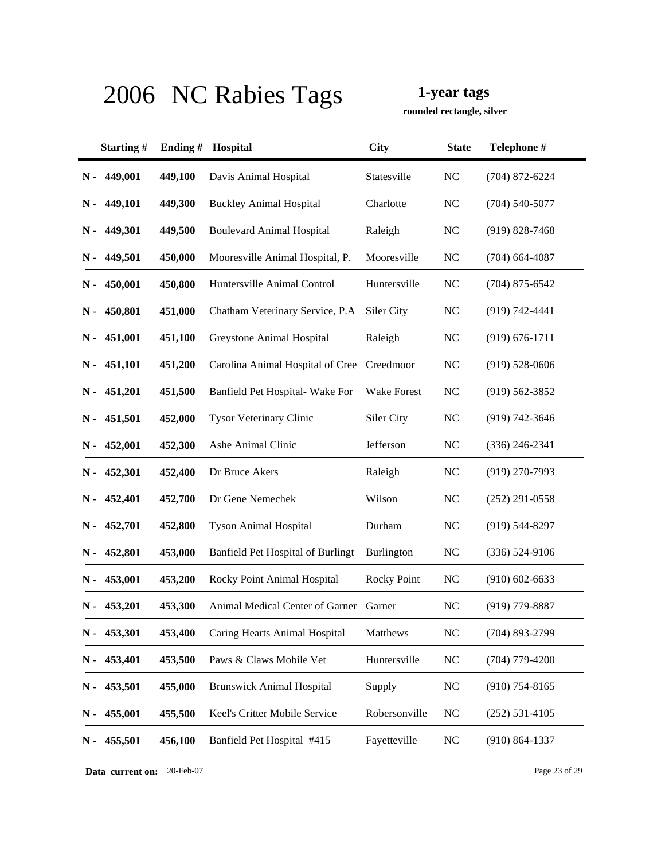**rounded rectangle, silver**

|               | Starting#     | Ending# | Hospital                                   | <b>City</b>        | <b>State</b>   | Telephone #        |
|---------------|---------------|---------|--------------------------------------------|--------------------|----------------|--------------------|
| N -           | 449,001       | 449,100 | Davis Animal Hospital                      | Statesville        | N <sub>C</sub> | $(704)$ 872-6224   |
| N -           | 449,101       | 449,300 | <b>Buckley Animal Hospital</b>             | Charlotte          | <b>NC</b>      | $(704)$ 540-5077   |
| N -           | 449,301       | 449,500 | <b>Boulevard Animal Hospital</b>           | Raleigh            | <b>NC</b>      | $(919)$ 828-7468   |
| N -           | 449,501       | 450,000 | Mooresville Animal Hospital, P.            | Mooresville        | <b>NC</b>      | $(704)$ 664-4087   |
| $N -$         | 450,001       | 450,800 | Huntersville Animal Control                | Huntersville       | <b>NC</b>      | $(704)$ 875-6542   |
| N -           | 450,801       | 451,000 | Chatham Veterinary Service, P.A.           | Siler City         | <b>NC</b>      | $(919) 742 - 4441$ |
|               | $N - 451,001$ | 451,100 | Greystone Animal Hospital                  | Raleigh            | <b>NC</b>      | $(919) 676 - 1711$ |
| N -           | 451,101       | 451,200 | Carolina Animal Hospital of Cree Creedmoor |                    | <b>NC</b>      | $(919) 528 - 0606$ |
| $N -$         | 451,201       | 451,500 | Banfield Pet Hospital- Wake For            | <b>Wake Forest</b> | <b>NC</b>      | $(919) 562 - 3852$ |
| N -           | 451,501       | 452,000 | <b>Tysor Veterinary Clinic</b>             | Siler City         | <b>NC</b>      | $(919) 742 - 3646$ |
| N -           | 452,001       | 452,300 | Ashe Animal Clinic                         | Jefferson          | <b>NC</b>      | $(336)$ 246-2341   |
| N -           | 452,301       | 452,400 | Dr Bruce Akers                             | Raleigh            | <b>NC</b>      | $(919)$ 270-7993   |
| N -           | 452,401       | 452,700 | Dr Gene Nemechek                           | Wilson             | <b>NC</b>      | $(252)$ 291-0558   |
| N -           | 452,701       | 452,800 | <b>Tyson Animal Hospital</b>               | Durham             | <b>NC</b>      | $(919)$ 544-8297   |
| N -           | 452,801       | 453,000 | Banfield Pet Hospital of Burlingt          | Burlington         | <b>NC</b>      | $(336) 524-9106$   |
| N -           | 453,001       | 453,200 | Rocky Point Animal Hospital                | <b>Rocky Point</b> | <b>NC</b>      | $(910)$ 602-6633   |
| N -           | 453,201       | 453,300 | Animal Medical Center of Garner            | Garner             | <b>NC</b>      | $(919)$ 779-8887   |
| $\mathbf N$ - | 453,301       | 453,400 | Caring Hearts Animal Hospital              | Matthews           | <b>NC</b>      | $(704)$ 893-2799   |
| $N -$         | 453,401       | 453,500 | Paws & Claws Mobile Vet                    | Huntersville       | <b>NC</b>      | $(704)$ 779-4200   |
| $N -$         | 453,501       | 455,000 | <b>Brunswick Animal Hospital</b>           | Supply             | <b>NC</b>      | $(910)$ 754-8165   |
| $N -$         | 455,001       | 455,500 | Keel's Critter Mobile Service              | Robersonville      | <b>NC</b>      | $(252) 531 - 4105$ |
| $N -$         | 455,501       | 456,100 | Banfield Pet Hospital #415                 | Fayetteville       | <b>NC</b>      | $(910) 864 - 1337$ |

**Data current on:** 20-Feb-07 Page 23 of 29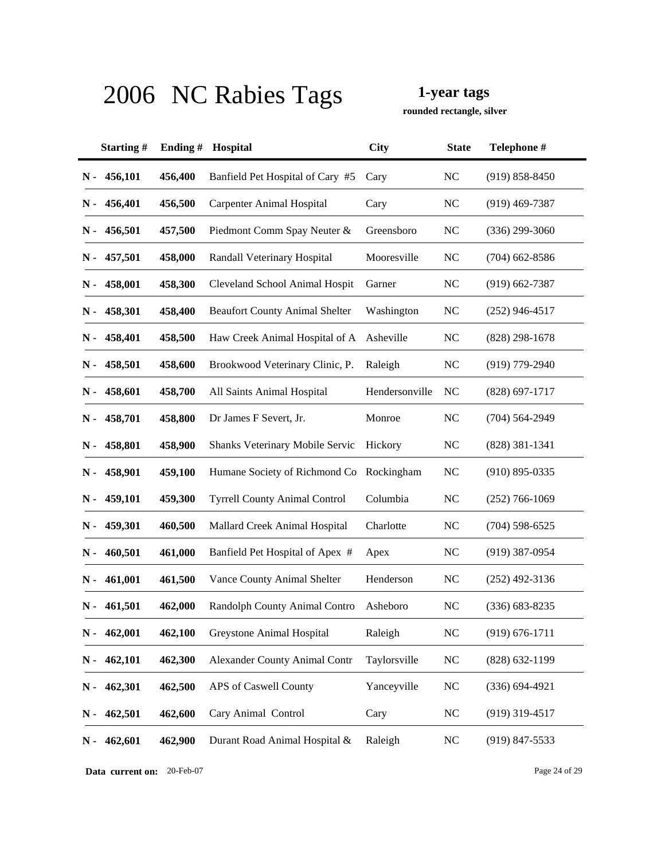**rounded rectangle, silver**

|       | Starting# | Ending $#$ | Hospital                              | <b>City</b>    | <b>State</b>   | Telephone #        |
|-------|-----------|------------|---------------------------------------|----------------|----------------|--------------------|
| $N -$ | 456,101   | 456,400    | Banfield Pet Hospital of Cary #5      | Cary           | <b>NC</b>      | $(919) 858 - 8450$ |
| N -   | 456,401   | 456,500    | <b>Carpenter Animal Hospital</b>      | Cary           | <b>NC</b>      | $(919)$ 469-7387   |
| N -   | 456,501   | 457,500    | Piedmont Comm Spay Neuter &           | Greensboro     | <b>NC</b>      | $(336)$ 299-3060   |
| N -   | 457,501   | 458,000    | Randall Veterinary Hospital           | Mooresville    | <b>NC</b>      | $(704)$ 662-8586   |
| N -   | 458,001   | 458,300    | Cleveland School Animal Hospit        | Garner         | NC             | $(919) 662 - 7387$ |
| N -   | 458,301   | 458,400    | <b>Beaufort County Animal Shelter</b> | Washington     | <b>NC</b>      | $(252)$ 946-4517   |
| N -   | 458,401   | 458,500    | Haw Creek Animal Hospital of A        | Asheville      | <b>NC</b>      | $(828)$ 298-1678   |
| N -   | 458,501   | 458,600    | Brookwood Veterinary Clinic, P.       | Raleigh        | <b>NC</b>      | (919) 779-2940     |
| N -   | 458,601   | 458,700    | All Saints Animal Hospital            | Hendersonville | NC             | $(828)$ 697-1717   |
| N -   | 458,701   | 458,800    | Dr James F Severt, Jr.                | Monroe         | NC             | $(704) 564 - 2949$ |
| N -   | 458,801   | 458,900    | Shanks Veterinary Mobile Servic       | Hickory        | <b>NC</b>      | $(828)$ 381-1341   |
| N -   | 458,901   | 459,100    | Humane Society of Richmond Co         | Rockingham     | N <sub>C</sub> | $(910)$ 895-0335   |
| N -   | 459,101   | 459,300    | <b>Tyrrell County Animal Control</b>  | Columbia       | <b>NC</b>      | $(252)$ 766-1069   |
| N -   | 459,301   | 460,500    | Mallard Creek Animal Hospital         | Charlotte      | <b>NC</b>      | $(704)$ 598-6525   |
| N -   | 460,501   | 461,000    | Banfield Pet Hospital of Apex #       | Apex           | NC             | $(919)$ 387-0954   |
| N -   | 461,001   | 461,500    | Vance County Animal Shelter           | Henderson      | <b>NC</b>      | $(252)$ 492-3136   |
| N -   | 461,501   | 462,000    | Randolph County Animal Contro         | Asheboro       | N <sub>C</sub> | $(336) 683 - 8235$ |
| N -   | 462,001   | 462,100    | <b>Greystone Animal Hospital</b>      | Raleigh        | <b>NC</b>      | $(919) 676 - 1711$ |
| N -   | 462,101   | 462,300    | <b>Alexander County Animal Contr</b>  | Taylorsville   | NC             | $(828)$ 632-1199   |
| $N -$ | 462,301   | 462,500    | APS of Caswell County                 | Yanceyville    | <b>NC</b>      | $(336) 694 - 4921$ |
| N -   | 462,501   | 462,600    | Cary Animal Control                   | Cary           | <b>NC</b>      | $(919)$ 319-4517   |
| $N -$ | 462,601   | 462,900    | Durant Road Animal Hospital &         | Raleigh        | <b>NC</b>      | $(919)$ 847-5533   |

**Data current on:** 20-Feb-07 Page 24 of 29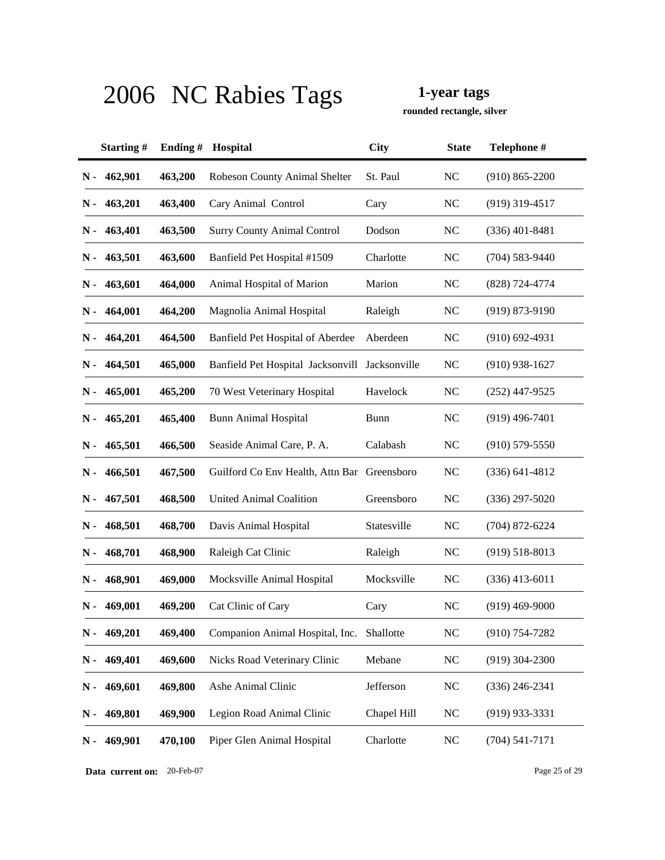**rounded rectangle, silver**

|       | Starting# | Ending# | Hospital                                       | <b>City</b> | <b>State</b>   | Telephone #        |
|-------|-----------|---------|------------------------------------------------|-------------|----------------|--------------------|
| Ν-    | 462,901   | 463,200 | <b>Robeson County Animal Shelter</b>           | St. Paul    | NC             | $(910) 865 - 2200$ |
| N -   | 463,201   | 463,400 | Cary Animal Control                            | Cary        | <b>NC</b>      | $(919)$ 319-4517   |
| N -   | 463,401   | 463,500 | <b>Surry County Animal Control</b>             | Dodson      | N <sub>C</sub> | $(336)$ 401-8481   |
| N -   | 463,501   | 463,600 | Banfield Pet Hospital #1509                    | Charlotte   | <b>NC</b>      | $(704)$ 583-9440   |
| N -   | 463,601   | 464,000 | Animal Hospital of Marion                      | Marion      | <b>NC</b>      | (828) 724-4774     |
| N -   | 464,001   | 464,200 | Magnolia Animal Hospital                       | Raleigh     | NC             | $(919) 873 - 9190$ |
| N -   | 464,201   | 464,500 | Banfield Pet Hospital of Aberdee               | Aberdeen    | <b>NC</b>      | $(910)$ 692-4931   |
| N -   | 464,501   | 465,000 | Banfield Pet Hospital Jacksonvill Jacksonville |             | $\rm NC$       | $(910)$ 938-1627   |
| N -   | 465,001   | 465,200 | 70 West Veterinary Hospital                    | Havelock    | NC             | $(252)$ 447-9525   |
| N -   | 465,201   | 465,400 | <b>Bunn Animal Hospital</b>                    | <b>Bunn</b> | NC             | $(919)$ 496-7401   |
| $N -$ | 465,501   | 466,500 | Seaside Animal Care, P. A.                     | Calabash    | <b>NC</b>      | $(910)$ 579-5550   |
| N -   | 466,501   | 467,500 | Guilford Co Env Health, Attn Bar Greensboro    |             | NC             | $(336) 641 - 4812$ |
| N -   | 467,501   | 468,500 | <b>United Animal Coalition</b>                 | Greensboro  | NC             | $(336)$ 297-5020   |
| N -   | 468,501   | 468,700 | Davis Animal Hospital                          | Statesville | <b>NC</b>      | $(704)$ 872-6224   |
| N -   | 468,701   | 468,900 | Raleigh Cat Clinic                             | Raleigh     | NC             | $(919) 518 - 8013$ |
| N -   | 468,901   | 469,000 | Mocksville Animal Hospital                     | Mocksville  | NC             | $(336)$ 413-6011   |
| N -   | 469,001   | 469,200 | Cat Clinic of Cary                             | Cary        | NC             | $(919)$ 469-9000   |
| N -   | 469,201   | 469,400 | Companion Animal Hospital, Inc.                | Shallotte   | NC             | $(910)$ 754-7282   |
| $N -$ | 469,401   | 469,600 | Nicks Road Veterinary Clinic                   | Mebane      | NC             | $(919)$ 304-2300   |
| $N -$ | 469,601   | 469,800 | Ashe Animal Clinic                             | Jefferson   | $\rm NC$       | $(336)$ 246-2341   |
| N -   | 469,801   | 469,900 | Legion Road Animal Clinic                      | Chapel Hill | <b>NC</b>      | $(919)$ 933-3331   |
| N-    | 469,901   | 470,100 | Piper Glen Animal Hospital                     | Charlotte   | $\rm NC$       | $(704) 541 - 7171$ |

**Data current on:** 20-Feb-07 Page 25 of 29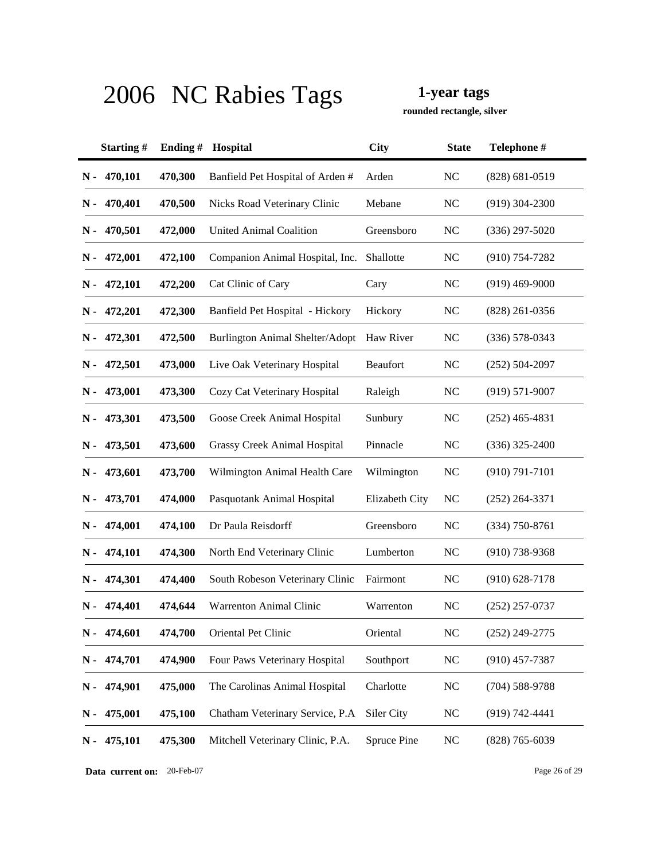**rounded rectangle, silver**

|       | Starting# | Ending $#$ | Hospital                               | <b>City</b>    | <b>State</b>   | Telephone #        |
|-------|-----------|------------|----------------------------------------|----------------|----------------|--------------------|
| $N -$ | 470,101   | 470,300    | Banfield Pet Hospital of Arden #       | Arden          | NC             | $(828) 681 - 0519$ |
| N -   | 470,401   | 470,500    | Nicks Road Veterinary Clinic           | Mebane         | <b>NC</b>      | $(919)$ 304-2300   |
| N -   | 470,501   | 472,000    | United Animal Coalition                | Greensboro     | NC             | $(336)$ 297-5020   |
| N -   | 472,001   | 472,100    | Companion Animal Hospital, Inc.        | Shallotte      | <b>NC</b>      | $(910)$ 754-7282   |
| N -   | 472,101   | 472,200    | Cat Clinic of Cary                     | Cary           | <b>NC</b>      | $(919)$ 469-9000   |
| N -   | 472,201   | 472,300    | Banfield Pet Hospital - Hickory        | Hickory        | <b>NC</b>      | $(828)$ 261-0356   |
| N -   | 472,301   | 472,500    | <b>Burlington Animal Shelter/Adopt</b> | Haw River      | <b>NC</b>      | $(336) 578 - 0343$ |
| N -   | 472,501   | 473,000    | Live Oak Veterinary Hospital           | Beaufort       | NC             | $(252) 504 - 2097$ |
| N -   | 473,001   | 473,300    | Cozy Cat Veterinary Hospital           | Raleigh        | <b>NC</b>      | $(919) 571-9007$   |
| N -   | 473,301   | 473,500    | Goose Creek Animal Hospital            | Sunbury        | $\rm NC$       | $(252)$ 465-4831   |
| N -   | 473,501   | 473,600    | <b>Grassy Creek Animal Hospital</b>    | Pinnacle       | <b>NC</b>      | $(336)$ 325-2400   |
| N -   | 473,601   | 473,700    | Wilmington Animal Health Care          | Wilmington     | <b>NC</b>      | $(910) 791 - 7101$ |
| N -   | 473,701   | 474,000    | Pasquotank Animal Hospital             | Elizabeth City | NC             | $(252)$ 264-3371   |
| N -   | 474,001   | 474,100    | Dr Paula Reisdorff                     | Greensboro     | <b>NC</b>      | $(334)$ 750-8761   |
| N -   | 474,101   | 474,300    | North End Veterinary Clinic            | Lumberton      | <b>NC</b>      | $(910)$ 738-9368   |
| N -   | 474,301   | 474,400    | South Robeson Veterinary Clinic        | Fairmont       | NC             | $(910)$ 628-7178   |
| N -   | 474,401   | 474,644    | <b>Warrenton Animal Clinic</b>         | Warrenton      | NC             | $(252)$ 257-0737   |
| N -   | 474,601   | 474,700    | Oriental Pet Clinic                    | Oriental       | NC             | $(252)$ 249-2775   |
| N -   | 474,701   | 474,900    | Four Paws Veterinary Hospital          | Southport      | $\rm NC$       | $(910)$ 457-7387   |
| $N -$ | 474,901   | 475,000    | The Carolinas Animal Hospital          | Charlotte      | N <sub>C</sub> | $(704) 588 - 9788$ |
| $N -$ | 475,001   | 475,100    | Chatham Veterinary Service, P.A        | Siler City     | <b>NC</b>      | $(919) 742 - 4441$ |
| $N -$ | 475,101   | 475,300    | Mitchell Veterinary Clinic, P.A.       | Spruce Pine    | $\rm NC$       | $(828)$ 765-6039   |

**Data current on:** 20-Feb-07 Page 26 of 29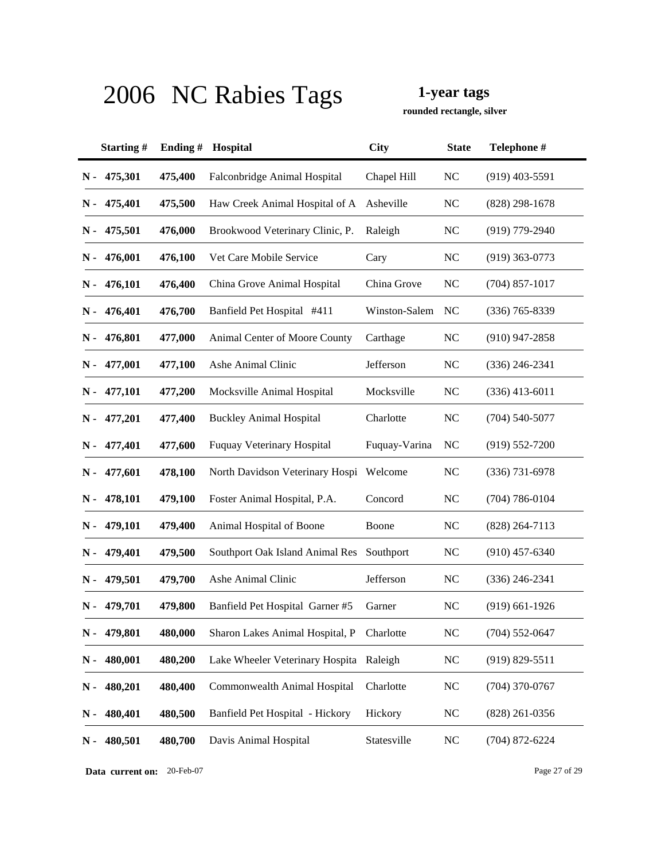**rounded rectangle, silver**

|               | Starting#     | Ending# | Hospital                                | <b>City</b>   | <b>State</b>   | Telephone #        |
|---------------|---------------|---------|-----------------------------------------|---------------|----------------|--------------------|
| $N -$         | 475,301       | 475,400 | Falconbridge Animal Hospital            | Chapel Hill   | <b>NC</b>      | $(919)$ 403-5591   |
| N -           | 475,401       | 475,500 | Haw Creek Animal Hospital of A          | Asheville     | <b>NC</b>      | $(828)$ 298-1678   |
| N -           | 475,501       | 476,000 | Brookwood Veterinary Clinic, P.         | Raleigh       | NC             | $(919)$ 779-2940   |
|               | $N - 476,001$ | 476,100 | Vet Care Mobile Service                 | Cary          | <b>NC</b>      | $(919)$ 363-0773   |
| N -           | 476,101       | 476,400 | China Grove Animal Hospital             | China Grove   | <b>NC</b>      | $(704)$ 857-1017   |
| N -           | 476,401       | 476,700 | Banfield Pet Hospital #411              | Winston-Salem | NC             | $(336)$ 765-8339   |
|               | N - 476,801   | 477,000 | Animal Center of Moore County           | Carthage      | <b>NC</b>      | $(910)$ 947-2858   |
|               | $N - 477,001$ | 477,100 | Ashe Animal Clinic                      | Jefferson     | <b>NC</b>      | $(336)$ 246-2341   |
| $N -$         | 477,101       | 477,200 | Mocksville Animal Hospital              | Mocksville    | <b>NC</b>      | $(336)$ 413-6011   |
| $N -$         | 477,201       | 477,400 | <b>Buckley Animal Hospital</b>          | Charlotte     | <b>NC</b>      | $(704) 540 - 5077$ |
| N -           | 477,401       | 477,600 | <b>Fuquay Veterinary Hospital</b>       | Fuquay-Varina | N <sub>C</sub> | $(919) 552 - 7200$ |
|               | $N - 477,601$ | 478,100 | North Davidson Veterinary Hospi Welcome |               | <b>NC</b>      | $(336)$ 731-6978   |
| N -           | 478,101       | 479,100 | Foster Animal Hospital, P.A.            | Concord       | <b>NC</b>      | $(704) 786 - 0104$ |
| N -           | 479,101       | 479,400 | Animal Hospital of Boone                | Boone         | <b>NC</b>      | $(828)$ 264-7113   |
| N -           | 479,401       | 479,500 | Southport Oak Island Animal Res         | Southport     | <b>NC</b>      | $(910)$ 457-6340   |
|               | N - 479,501   | 479,700 | Ashe Animal Clinic                      | Jefferson     | <b>NC</b>      | $(336)$ 246-2341   |
| N -           | 479,701       | 479,800 | Banfield Pet Hospital Garner #5         | Garner        | <b>NC</b>      | $(919)$ 661-1926   |
| $\mathbf N$ - | 479,801       | 480,000 | Sharon Lakes Animal Hospital, P         | Charlotte     | <b>NC</b>      | $(704)$ 552-0647   |
| $N -$         | 480,001       | 480,200 | Lake Wheeler Veterinary Hospita Raleigh |               | <b>NC</b>      | $(919) 829 - 5511$ |
| $\mathbf N$ - | 480,201       | 480,400 | Commonwealth Animal Hospital            | Charlotte     | <b>NC</b>      | $(704)$ 370-0767   |
| $\mathbf N$ - | 480,401       | 480,500 | Banfield Pet Hospital - Hickory         | Hickory       | <b>NC</b>      | $(828)$ 261-0356   |
| N-            | 480,501       | 480,700 | Davis Animal Hospital                   | Statesville   | NC             | $(704)$ 872-6224   |

**Data current on:** 20-Feb-07 Page 27 of 29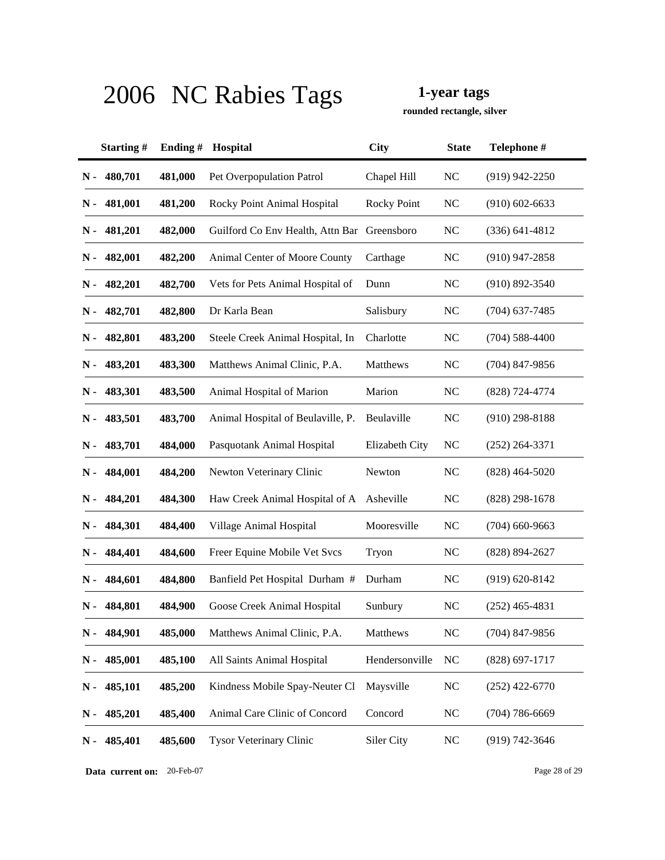**rounded rectangle, silver**

|               | Starting# | Ending# | Hospital                                    | <b>City</b>        | <b>State</b>   | Telephone #        |
|---------------|-----------|---------|---------------------------------------------|--------------------|----------------|--------------------|
| $N -$         | 480,701   | 481,000 | Pet Overpopulation Patrol                   | Chapel Hill        | <b>NC</b>      | $(919)$ 942-2250   |
| N -           | 481,001   | 481,200 | Rocky Point Animal Hospital                 | <b>Rocky Point</b> | <b>NC</b>      | $(910)$ 602-6633   |
| N -           | 481,201   | 482,000 | Guilford Co Env Health, Attn Bar Greensboro |                    | <b>NC</b>      | $(336) 641 - 4812$ |
| N -           | 482,001   | 482,200 | Animal Center of Moore County               | Carthage           | <b>NC</b>      | $(910)$ 947-2858   |
| N -           | 482,201   | 482,700 | Vets for Pets Animal Hospital of            | Dunn               | <b>NC</b>      | $(910) 892 - 3540$ |
| N -           | 482,701   | 482,800 | Dr Karla Bean                               | Salisbury          | <b>NC</b>      | $(704)$ 637-7485   |
| N -           | 482,801   | 483,200 | Steele Creek Animal Hospital, In            | Charlotte          | <b>NC</b>      | $(704) 588 - 4400$ |
| N-            | 483,201   | 483,300 | Matthews Animal Clinic, P.A.                | Matthews           | <b>NC</b>      | $(704)$ 847-9856   |
| N -           | 483,301   | 483,500 | Animal Hospital of Marion                   | Marion             | <b>NC</b>      | (828) 724-4774     |
| N -           | 483,501   | 483,700 | Animal Hospital of Beulaville, P.           | Beulaville         | <b>NC</b>      | $(910)$ 298-8188   |
| N -           | 483,701   | 484,000 | Pasquotank Animal Hospital                  | Elizabeth City     | <b>NC</b>      | $(252)$ 264-3371   |
| N -           | 484,001   | 484,200 | Newton Veterinary Clinic                    | Newton             | <b>NC</b>      | $(828)$ 464-5020   |
| N -           | 484,201   | 484,300 | Haw Creek Animal Hospital of A              | Asheville          | <b>NC</b>      | $(828)$ 298-1678   |
| N -           | 484,301   | 484,400 | Village Animal Hospital                     | Mooresville        | <b>NC</b>      | $(704)$ 660-9663   |
| $N -$         | 484,401   | 484,600 | Freer Equine Mobile Vet Svcs                | Tryon              | <b>NC</b>      | $(828) 894 - 2627$ |
| N -           | 484,601   | 484,800 | Banfield Pet Hospital Durham #              | Durham             | <b>NC</b>      | $(919) 620 - 8142$ |
| N -           | 484,801   | 484,900 | Goose Creek Animal Hospital                 | Sunbury            | N <sub>C</sub> | $(252)$ 465-4831   |
| N -           | 484,901   | 485,000 | Matthews Animal Clinic, P.A.                | Matthews           | <b>NC</b>      | $(704)$ 847-9856   |
| N-            | 485,001   | 485,100 | All Saints Animal Hospital                  | Hendersonville     | <b>NC</b>      | $(828)$ 697-1717   |
| $\mathbf N$ - | 485,101   | 485,200 | Kindness Mobile Spay-Neuter Cl              | Maysville          | <b>NC</b>      | $(252)$ 422-6770   |
| $\mathbf N$ - | 485,201   | 485,400 | Animal Care Clinic of Concord               | Concord            | <b>NC</b>      | $(704) 786 - 6669$ |
| $N -$         | 485,401   | 485,600 | <b>Tysor Veterinary Clinic</b>              | Siler City         | <b>NC</b>      | (919) 742-3646     |

**Data current on:** 20-Feb-07 Page 28 of 29